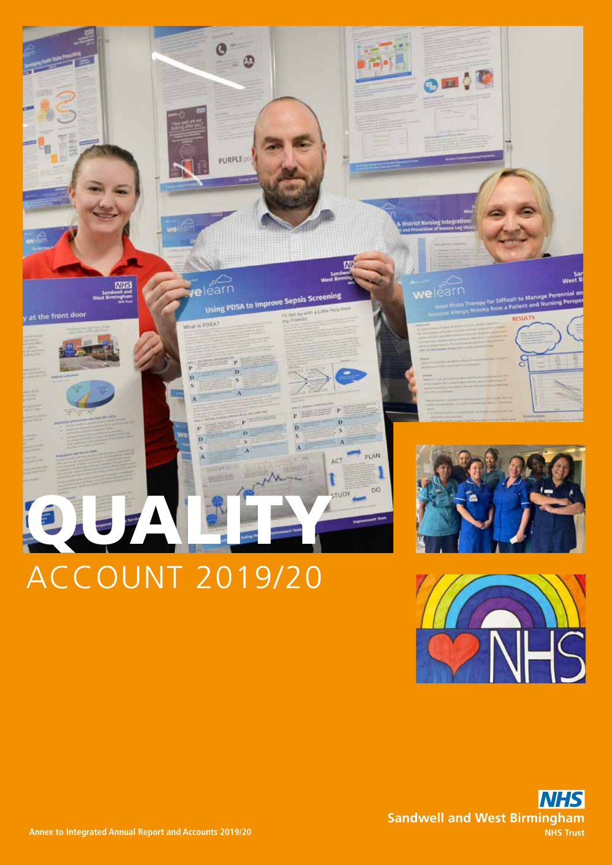

# ACCOUNT 2019/20



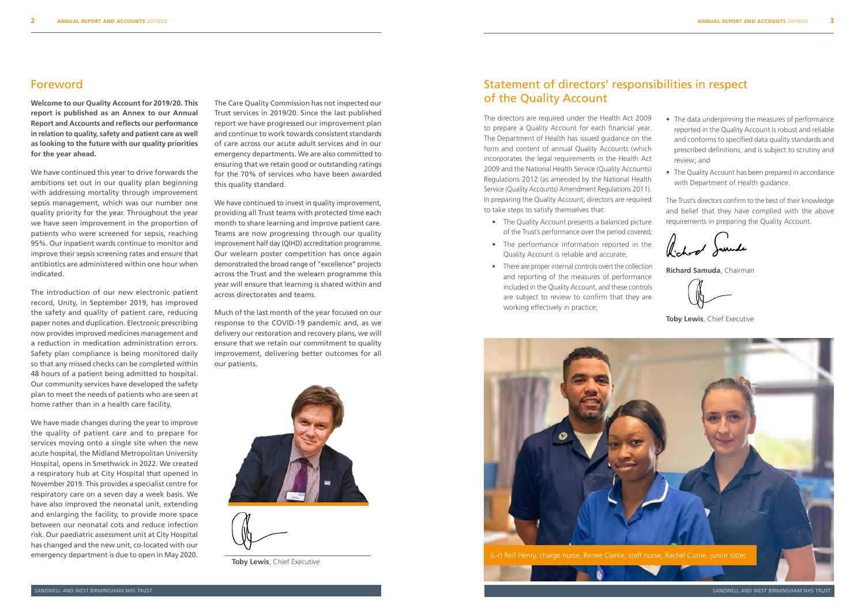SANDWELL AND WEST BIRMINGHAM NHS TRUST

## Foreword

**Welcome to our Quality Account for 2019/20. This report is published as an Annex to our Annual Report and Accounts and reflects our performance in relation to quality, safety and patient care as well as looking to the future with our quality priorities for the year ahead.**

We have continued this year to drive forwards the ambitions set out in our quality plan beginning with addressing mortality through improvement sepsis management, which was our number one quality priority for the year. Throughout the year we have seen improvement in the proportion of patients who were screened for sepsis, reaching 95%. Our inpatient wards continue to monitor and improve their sepsis screening rates and ensure that antibiotics are administered within one hour when indicated.

The introduction of our new electronic patient record, Unity, in September 2019, has improved the safety and quality of patient care, reducing paper notes and duplication. Electronic prescribing now provides improved medicines management and a reduction in medication administration errors. Safety plan compliance is being monitored daily so that any missed checks can be completed within 48 hours of a patient being admitted to hospital. Our community services have developed the safety plan to meet the needs of patients who are seen at home rather than in a health care facility.

We have made changes during the year to improve the quality of patient care and to prepare for services moving onto a single site when the new acute hospital, the Midland Metropolitan University Hospital, opens in Smethwick in 2022. We created a respiratory hub at City Hospital that opened in November 2019. This provides a specialist centre for respiratory care on a seven day a week basis. We have also improved the neonatal unit, extending and enlarging the facility, to provide more space between our neonatal cots and reduce infection risk. Our paediatric assessment unit at City Hospital has changed and the new unit, co-located with our emergency department is due to open in May 2020.

The Care Quality Commission has not inspected our Trust services in 2019/20. Since the last published report we have progressed our improvement plan and continue to work towards consistent standards of care across our acute adult services and in our emergency departments. We are also committed to ensuring that we retain good or outstanding ratings for the 70% of services who have been awarded this quality standard.

- The Quality Account presents a balanced picture of the Trust's performance over the period covered;
- The performance information reported in the Quality Account is reliable and accurate;
- There are proper internal controls overt the collection and reporting of the measures of performance included in the Quality Account, and these controls are subject to review to confirm that they are working effectively in practice;

We have continued to invest in quality improvement, providing all Trust teams with protected time each month to share learning and improve patient care. Teams are now progressing through our quality improvement half day (QIHD) accreditation programme. Our welearn poster competition has once again demonstrated the broad range of "excellence" projects across the Trust and the welearn programme this year will ensure that learning is shared within and across directorates and teams.

Much of the last month of the year focused on our response to the COVID-19 pandemic and, as we delivery our restoration and recovery plans, we will ensure that we retain our commitment to quality improvement, delivering better outcomes for all our patients.





- The data underpinning the measures of performance reported in the Quality Account is robust and reliable and conforms to specified data quality standards and prescribed definitions, and is subject to scrutiny and review; and
- The Quality Account has been prepared in accordance with Department of Health guidance.

The Trust's directors confirm to the best of their knowledge and belief that they have complied with the above requirements in preparing the Quality Account.

Richard Samuele

**Richard Samuda**, Chairman

**Toby Lewis**, Chief Executive

## Statement of directors' responsibilities in respect of the Quality Account

The directors are required under the Health Act 2009 to prepare a Quality Account for each financial year. The Department of Health has issued guidance on the form and content of annual Quality Accounts (which incorporates the legal requirements in the Health Act 2009 and the National Health Service (Quality Accounts) Regulations 2012 (as amended by the National Health Service (Quality Accounts) Amendment Regulations 2011). In preparing the Quality Account, directors are required to take steps to satisfy themselves that:

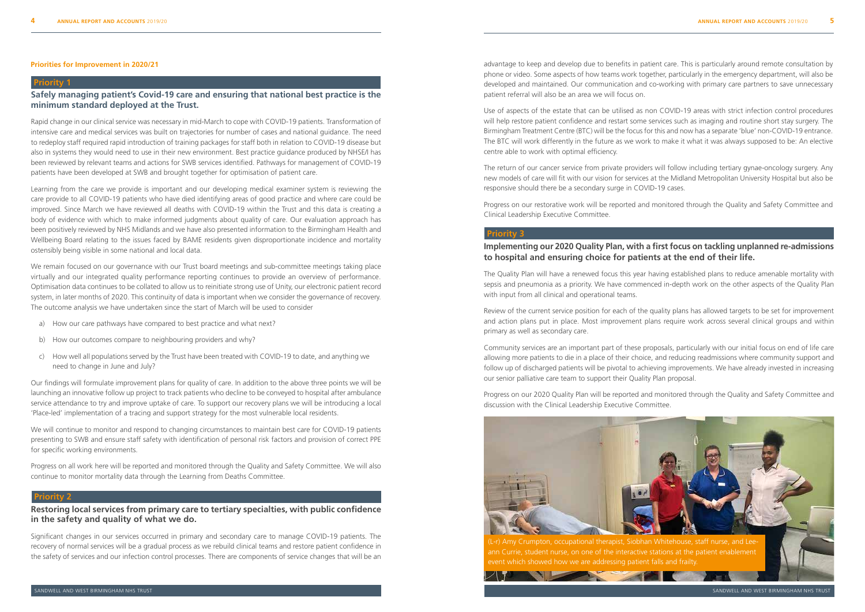#### **Priority 1**

**Safely managing patient's Covid-19 care and ensuring that national best practice is the minimum standard deployed at the Trust.**

Rapid change in our clinical service was necessary in mid-March to cope with COVID-19 patients. Transformation of intensive care and medical services was built on trajectories for number of cases and national guidance. The need to redeploy staff required rapid introduction of training packages for staff both in relation to COVID-19 disease but also in systems they would need to use in their new environment. Best practice guidance produced by NHSE/I has been reviewed by relevant teams and actions for SWB services identified. Pathways for management of COVID-19 patients have been developed at SWB and brought together for optimisation of patient care.

Learning from the care we provide is important and our developing medical examiner system is reviewing the care provide to all COVID-19 patients who have died identifying areas of good practice and where care could be improved. Since March we have reviewed all deaths with COVID-19 within the Trust and this data is creating a body of evidence with which to make informed judgments about quality of care. Our evaluation approach has been positively reviewed by NHS Midlands and we have also presented information to the Birmingham Health and Wellbeing Board relating to the issues faced by BAME residents given disproportionate incidence and mortality ostensibly being visible in some national and local data.

We remain focused on our governance with our Trust board meetings and sub-committee meetings taking place virtually and our integrated quality performance reporting continues to provide an overview of performance. Optimisation data continues to be collated to allow us to reinitiate strong use of Unity, our electronic patient record system, in later months of 2020. This continuity of data is important when we consider the governance of recovery. The outcome analysis we have undertaken since the start of March will be used to consider

- a) How our care pathways have compared to best practice and what next?
- b) How our outcomes compare to neighbouring providers and why?
- c) How well all populations served by the Trust have been treated with COVID-19 to date, and anything we need to change in June and July?

Our findings will formulate improvement plans for quality of care. In addition to the above three points we will be launching an innovative follow up project to track patients who decline to be conveyed to hospital after ambulance service attendance to try and improve uptake of care. To support our recovery plans we will be introducing a local 'Place-led' implementation of a tracing and support strategy for the most vulnerable local residents.

We will continue to monitor and respond to changing circumstances to maintain best care for COVID-19 patients presenting to SWB and ensure staff safety with identification of personal risk factors and provision of correct PPE for specific working environments.

Progress on all work here will be reported and monitored through the Quality and Safety Committee. We will also continue to monitor mortality data through the Learning from Deaths Committee.

#### **Priority 2**

## **Restoring local services from primary care to tertiary specialties, with public confidence in the safety and quality of what we do.**

Significant changes in our services occurred in primary and secondary care to manage COVID-19 patients. The recovery of normal services will be a gradual process as we rebuild clinical teams and restore patient confidence in the safety of services and our infection control processes. There are components of service changes that will be an

#### **Priorities for Improvement in 2020/21**

#### **Priority 3**

## **Implementing our 2020 Quality Plan, with a first focus on tackling unplanned re-admissions to hospital and ensuring choice for patients at the end of their life.**

The Quality Plan will have a renewed focus this year having established plans to reduce amenable mortality with sepsis and pneumonia as a priority. We have commenced in-depth work on the other aspects of the Quality Plan with input from all clinical and operational teams.

Review of the current service position for each of the quality plans has allowed targets to be set for improvement and action plans put in place. Most improvement plans require work across several clinical groups and within primary as well as secondary care.

Community services are an important part of these proposals, particularly with our initial focus on end of life care allowing more patients to die in a place of their choice, and reducing readmissions where community support and follow up of discharged patients will be pivotal to achieving improvements. We have already invested in increasing our senior palliative care team to support their Quality Plan proposal.

Progress on our 2020 Quality Plan will be reported and monitored through the Quality and Safety Committee and discussion with the Clinical Leadership Executive Committee.



advantage to keep and develop due to benefits in patient care. This is particularly around remote consultation by phone or video. Some aspects of how teams work together, particularly in the emergency department, will also be developed and maintained. Our communication and co-working with primary care partners to save unnecessary patient referral will also be an area we will focus on.

Use of aspects of the estate that can be utilised as non COVID-19 areas with strict infection control procedures will help restore patient confidence and restart some services such as imaging and routine short stay surgery. The Birmingham Treatment Centre (BTC) will be the focus for this and now has a separate 'blue' non-COVID-19 entrance. The BTC will work differently in the future as we work to make it what it was always supposed to be: An elective centre able to work with optimal efficiency.

The return of our cancer service from private providers will follow including tertiary gynae-oncology surgery. Any new models of care will fit with our vision for services at the Midland Metropolitan University Hospital but also be responsive should there be a secondary surge in COVID-19 cases.

Progress on our restorative work will be reported and monitored through the Quality and Safety Committee and Clinical Leadership Executive Committee.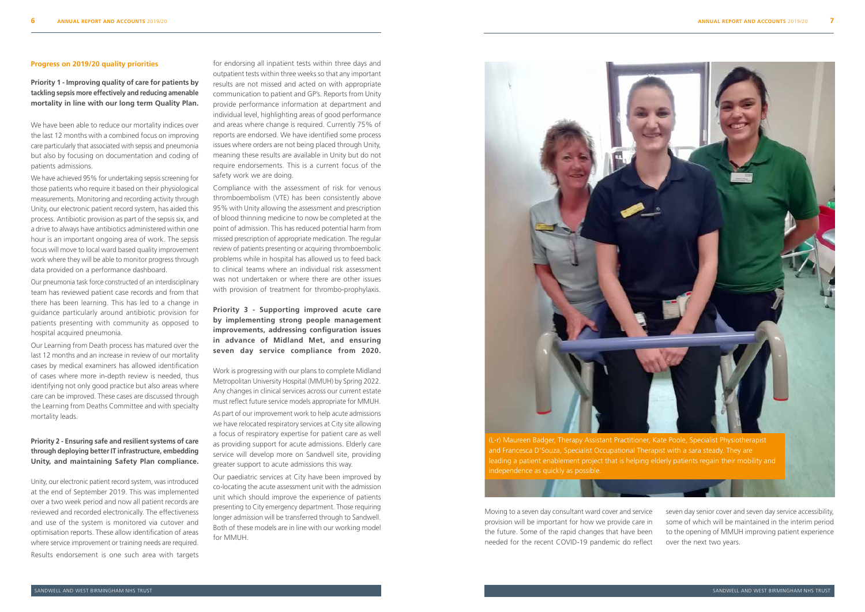#### **Progress on 2019/20 quality priorities**

**Priority 1 - Improving quality of care for patients by tackling sepsis more effectively and reducing amenable mortality in line with our long term Quality Plan.** 

We have been able to reduce our mortality indices over the last 12 months with a combined focus on improving care particularly that associated with sepsis and pneumonia but also by focusing on documentation and coding of patients admissions.

We have achieved 95% for undertaking sepsis screening for those patients who require it based on their physiological measurements. Monitoring and recording activity through Unity, our electronic patient record system, has aided this process. Antibiotic provision as part of the sepsis six, and a drive to always have antibiotics administered within one hour is an important ongoing area of work. The sepsis focus will move to local ward based quality improvement work where they will be able to monitor progress through data provided on a performance dashboard.

Our pneumonia task force constructed of an interdisciplinary team has reviewed patient case records and from that there has been learning. This has led to a change in guidance particularly around antibiotic provision for patients presenting with community as opposed to hospital acquired pneumonia.

Our Learning from Death process has matured over the last 12 months and an increase in review of our mortality cases by medical examiners has allowed identification of cases where more in-depth review is needed, thus identifying not only good practice but also areas where care can be improved. These cases are discussed through the Learning from Deaths Committee and with specialty mortality leads.

## **Priority 2 - Ensuring safe and resilient systems of care through deploying better IT infrastructure, embedding Unity, and maintaining Safety Plan compliance.**

Unity, our electronic patient record system, was introduced at the end of September 2019. This was implemented over a two week period and now all patient records are reviewed and recorded electronically. The effectiveness and use of the system is monitored via cutover and optimisation reports. These allow identification of areas where service improvement or training needs are required. Results endorsement is one such area with targets

for endorsing all inpatient tests within three days and outpatient tests within three weeks so that any important results are not missed and acted on with appropriate communication to patient and GP's. Reports from Unity provide performance information at department and individual level, highlighting areas of good performance and areas where change is required. Currently 75% of reports are endorsed. We have identified some process issues where orders are not being placed through Unity, meaning these results are available in Unity but do not require endorsements. This is a current focus of the safety work we are doing.

Compliance with the assessment of risk for venous thromboembolism (VTE) has been consistently above 95% with Unity allowing the assessment and prescription of blood thinning medicine to now be completed at the point of admission. This has reduced potential harm from missed prescription of appropriate medication. The regular review of patients presenting or acquiring thromboembolic problems while in hospital has allowed us to feed back to clinical teams where an individual risk assessment was not undertaken or where there are other issues with provision of treatment for thrombo-prophylaxis.

**Priority 3 - Supporting improved acute care by implementing strong people management improvements, addressing configuration issues in advance of Midland Met, and ensuring seven day service compliance from 2020.**

Work is progressing with our plans to complete Midland Metropolitan University Hospital (MMUH) by Spring 2022. Any changes in clinical services across our current estate must reflect future service models appropriate for MMUH. As part of our improvement work to help acute admissions we have relocated respiratory services at City site allowing a focus of respiratory expertise for patient care as well as providing support for acute admissions. Elderly care service will develop more on Sandwell site, providing greater support to acute admissions this way.

Our paediatric services at City have been improved by co-locating the acute assessment unit with the admission unit which should improve the experience of patients presenting to City emergency department. Those requiring longer admission will be transferred through to Sandwell. Both of these models are in line with our working model for MMUH.

Moving to a seven day consultant ward cover and service provision will be important for how we provide care in the future. Some of the rapid changes that have been needed for the recent COVID-19 pandemic do reflect

seven day senior cover and seven day service accessibility, some of which will be maintained in the interim period to the opening of MMUH improving patient experience over the next two years.



independence as quickly as possible.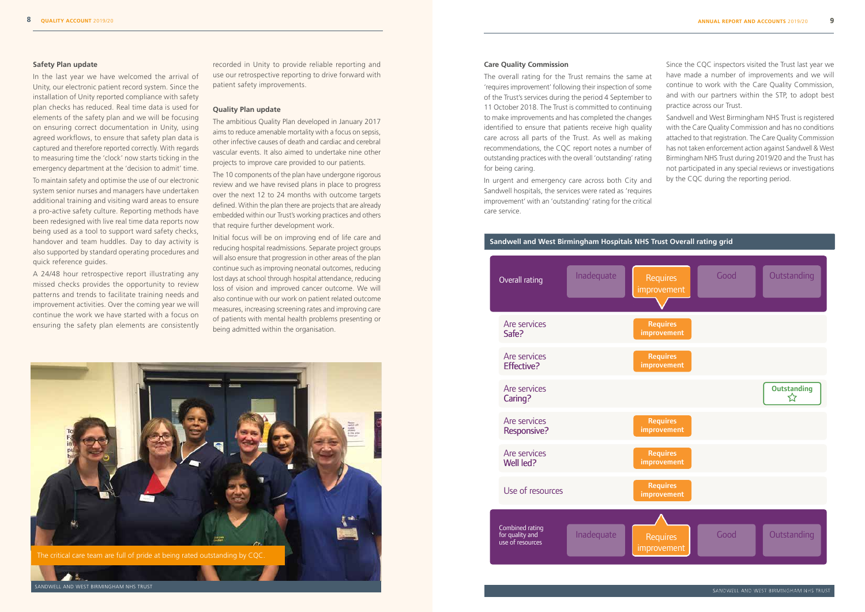#### **Safety Plan update**

In the last year we have welcomed the arrival of Unity, our electronic patient record system. Since the installation of Unity reported compliance with safety plan checks has reduced. Real time data is used for elements of the safety plan and we will be focusing on ensuring correct documentation in Unity, using agreed workflows, to ensure that safety plan data is captured and therefore reported correctly. With regards to measuring time the 'clock' now starts ticking in the emergency department at the 'decision to admit' time. To maintain safety and optimise the use of our electronic system senior nurses and managers have undertaken additional training and visiting ward areas to ensure a pro-active safety culture. Reporting methods have been redesigned with live real time data reports now being used as a tool to support ward safety checks, handover and team huddles. Day to day activity is also supported by standard operating procedures and quick reference guides.

A 24/48 hour retrospective report illustrating any missed checks provides the opportunity to review patterns and trends to facilitate training needs and improvement activities. Over the coming year we will continue the work we have started with a focus on ensuring the safety plan elements are consistently

recorded in Unity to provide reliable reporting and use our retrospective reporting to drive forward with patient safety improvements.

#### **Quality Plan update**

In urgent and emergency care across both City and Sandwell hospitals, the services were rated as 'requires improvement' with an 'outstanding' rating for the critical care service care service.  $N_{\rm H}$ 

The ambitious Quality Plan developed in January 2017 aims to reduce amenable mortality with a focus on sepsis, other infective causes of death and cardiac and cerebral vascular events. It also aimed to undertake nine other projects to improve care provided to our patients.

Sandwell and West Birmingham NHS Trust is registered with the Care Quality Commission and has no conditions attached to that registration. The Care Quality Commission has not taken enforcement action against Sandwell & West Birmingham NHS Trust during 2019/20 and the Trust has not participated in any special reviews or investigations by the CQC during the reporting period.

The 10 components of the plan have undergone rigorous review and we have revised plans in place to progress over the next 12 to 24 months with outcome targets defined. Within the plan there are projects that are already embedded within our Trust's working practices and others that require further development work.



Initial focus will be on improving end of life care and reducing hospital readmissions. Separate project groups will also ensure that progression in other areas of the plan continue such as improving neonatal outcomes, reducing lost days at school through hospital attendance, reducing loss of vision and improved cancer outcome. We will also continue with our work on patient related outcome measures, increasing screening rates and improving care of patients with mental health problems presenting or being admitted within the organisation.

**9**

#### **Care Quality Commission**

The overall rating for the Trust remains the same at 'requires improvement' following their inspection of some of the Trust's services during the period 4 September to 11 October 2018. The Trust is committed to continuing to make improvements and has completed the changes identified to ensure that patients receive high quality care across all parts of the Trust. As well as making recommendations, the CQC report notes a number of outstanding practices with the overall 'outstanding' rating for being caring.

Since the CQC inspectors visited the Trust last year we have made a number of improvements and we will continue to work with the Care Quality Commission, and with our partners within the STP, to adopt best practice across our Trust.



inspection report at www.cqc.org.uk/provider/RXK

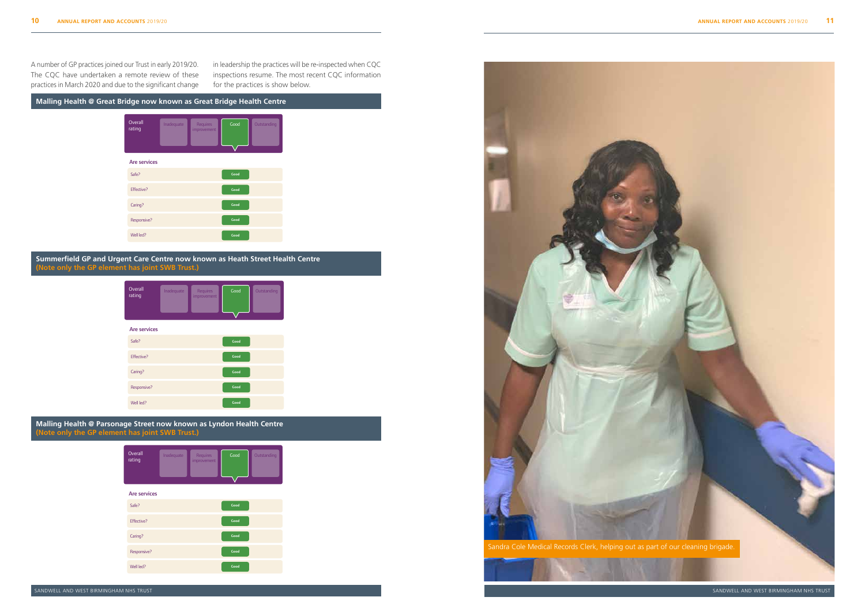**Summerfield GP and Urgent Care Centre now known as Heath Street Health Centre** Summerfield GP and Urgent Care Centre (Note only the GP element has joint SWB Trust.) And the control of the control of





**Malling Health @ Parsonage Street now known as Lyndon Health Centre** Malling Health @ Parsonage Street **(Note only the GP element has joint SWB Trust.)** The Care Quality Commission isthe independent regulator of health and social care in England. You can read our inspection report at www.cqc.org.uk/location/1-301391094



The CQC have undertaken a remote review of these practices in March 2020 and due to the significant change for the strain than  $\frac{1}{2}$ A number of GP practices joined our Trust in early 2019/20.



The Care  $C$  commission is the independent regulator of health and social care in England. You can read our can read our can read our care in England. You can read our can read our can read our can read our can read our c

in leadership the practices will be re-inspected when CQC in readership are practices this serie imposted threm equipments. for the practices is show below.



## **Malling Health @ Great Bridge now known as Great Bridge Health Centre**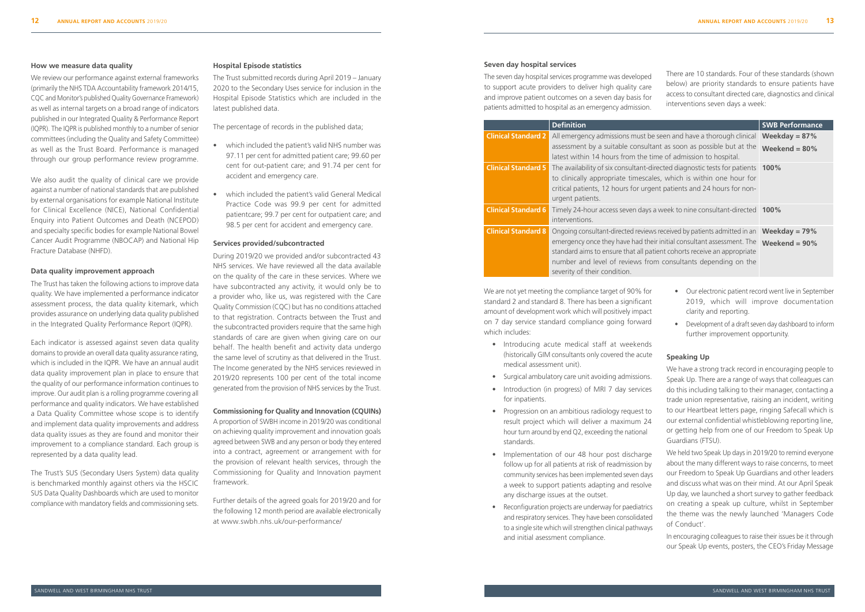SANDWELL AND WEST BIRMINGHAM NHS TRUST

#### **How we measure data quality**

We review our performance against external frameworks (primarily the NHS TDA Accountability framework 2014/15, CQC and Monitor's published Quality Governance Framework) as well as internal targets on a broad range of indicators published in our Integrated Quality & Performance Report (IQPR). The IQPR is published monthly to a number of senior committees (including the Quality and Safety Committee) as well as the Trust Board. Performance is managed through our group performance review programme.

We also audit the quality of clinical care we provide against a number of national standards that are published by external organisations for example National Institute for Clinical Excellence (NICE), National Confidential Enquiry into Patient Outcomes and Death (NCEPOD) and specialty specific bodies for example National Bowel Cancer Audit Programme (NBOCAP) and National Hip Fracture Database (NHFD).

#### **Data quality improvement approach**

The Trust has taken the following actions to improve data quality. We have implemented a performance indicator assessment process, the data quality kitemark, which provides assurance on underlying data quality published in the Integrated Quality Performance Report (IQPR).

Each indicator is assessed against seven data quality domains to provide an overall data quality assurance rating, which is included in the IQPR. We have an annual audit data quality improvement plan in place to ensure that the quality of our performance information continues to improve. Our audit plan is a rolling programme covering all performance and quality indicators. We have established a Data Quality Committee whose scope is to identify and implement data quality improvements and address data quality issues as they are found and monitor their improvement to a compliance standard. Each group is represented by a data quality lead.

The Trust's SUS (Secondary Users System) data quality is benchmarked monthly against others via the HSCIC SUS Data Quality Dashboards which are used to monitor compliance with mandatory fields and commissioning sets.

#### **Hospital Episode statistics**

The Trust submitted records during April 2019 – January 2020 to the Secondary Uses service for inclusion in the Hospital Episode Statistics which are included in the latest published data.

The percentage of records in the published data;

- which included the patient's valid NHS number was 97.11 per cent for admitted patient care; 99.60 per cent for out-patient care; and 91.74 per cent for accident and emergency care.
- which included the patient's valid General Medical Practice Code was 99.9 per cent for admitted patientcare; 99.7 per cent for outpatient care; and 98.5 per cent for accident and emergency care.

#### **Services provided/subcontracted**

During 2019/20 we provided and/or subcontracted 43 NHS services. We have reviewed all the data available on the quality of the care in these services. Where we have subcontracted any activity, it would only be to a provider who, like us, was registered with the Care Quality Commission (CQC) but has no conditions attached to that registration. Contracts between the Trust and the subcontracted providers require that the same high standards of care are given when giving care on our behalf. The health benefit and activity data undergo the same level of scrutiny as that delivered in the Trust. The Income generated by the NHS services reviewed in 2019/20 represents 100 per cent of the total income generated from the provision of NHS services by the Trust.

#### **Commissioning for Quality and Innovation (CQUINs)**

A proportion of SWBH income in 2019/20 was conditional on achieving quality improvement and innovation goals agreed between SWB and any person or body they entered into a contract, agreement or arrangement with for the provision of relevant health services, through the Commissioning for Quality and Innovation payment framework.

Further details of the agreed goals for 2019/20 and for the following 12 month period are available electronically at www.swbh.nhs.uk/our-performance/

#### **Seven day hospital services**

The seven day hospital services programme was developed to support acute providers to deliver high quality care and improve patient outcomes on a seven day basis for patients admitted to hospital as an emergency admission.

There are 10 standards. Four of these standards (shown below) are priority standards to ensure patients have access to consultant directed care, diagnostics and clinical interventions seven days a week:

|                            | <b>Definition</b>                                                                                                                                                                                                                                                                                                            | <b>SWB Performance</b>               |
|----------------------------|------------------------------------------------------------------------------------------------------------------------------------------------------------------------------------------------------------------------------------------------------------------------------------------------------------------------------|--------------------------------------|
| <b>Clinical Standard 2</b> | All emergency admissions must be seen and have a thorough clinical<br>assessment by a suitable consultant as soon as possible but at the<br>latest within 14 hours from the time of admission to hospital.                                                                                                                   | Weekday = $87%$<br>Weekend = $80\%$  |
| <b>Clinical Standard 5</b> | The availability of six consultant-directed diagnostic tests for patients 100%<br>to clinically appropriate timescales, which is within one hour for<br>critical patients, 12 hours for urgent patients and 24 hours for non-<br>urgent patients.                                                                            |                                      |
| <b>Clinical Standard 6</b> | Timely 24-hour access seven days a week to nine consultant-directed 100%<br>interventions.                                                                                                                                                                                                                                   |                                      |
| <b>Clinical Standard 8</b> | Ongoing consultant-directed reviews received by patients admitted in an<br>emergency once they have had their initial consultant assessment. The<br>standard aims to ensure that all patient cohorts receive an appropriate<br>number and level of reviews from consultants depending on the<br>severity of their condition. | Weekday = $79\%$<br>Weekend = $90\%$ |

We are not yet meeting the compliance target of 90% for standard 2 and standard 8. There has been a significant amount of development work which will positively impact on 7 day service standard compliance going forward which includes:

- Introducing acute medical staff at weekends (historically GIM consultants only covered the acute medical assessment unit).
- Surgical ambulatory care unit avoiding admissions.
- Introduction (in progress) of MRI 7 day services for inpatients.
- Progression on an ambitious radiology request to result project which will deliver a maximum 24 hour turn around by end Q2, exceeding the national standards.
- Implementation of our 48 hour post discharge follow up for all patients at risk of readmission by community services has been implemented seven days a week to support patients adapting and resolve any discharge issues at the outset.
- Reconfiguration projects are underway for paediatrics and respiratory services. They have been consolidated to a single site which will strengthen clinical pathways and initial asessment compliance.
- Our electronic patient record went live in September 2019, which will improve documentation clarity and reporting.
- Development of a draft seven day dashboard to inform further improvement opportunity.

## **Speaking Up**

We have a strong track record in encouraging people to Speak Up. There are a range of ways that colleagues can do this including talking to their manager, contacting a trade union representative, raising an incident, writing to our Heartbeat letters page, ringing Safecall which is our external confidential whistleblowing reporting line, or getting help from one of our Freedom to Speak Up Guardians (FTSU).

We held two Speak Up days in 2019/20 to remind everyone about the many different ways to raise concerns, to meet our Freedom to Speak Up Guardians and other leaders and discuss what was on their mind. At our April Speak Up day, we launched a short survey to gather feedback on creating a speak up culture, whilst in September the theme was the newly launched 'Managers Code of Conduct'.

In encouraging colleagues to raise their issues be it through our Speak Up events, posters, the CEO's Friday Message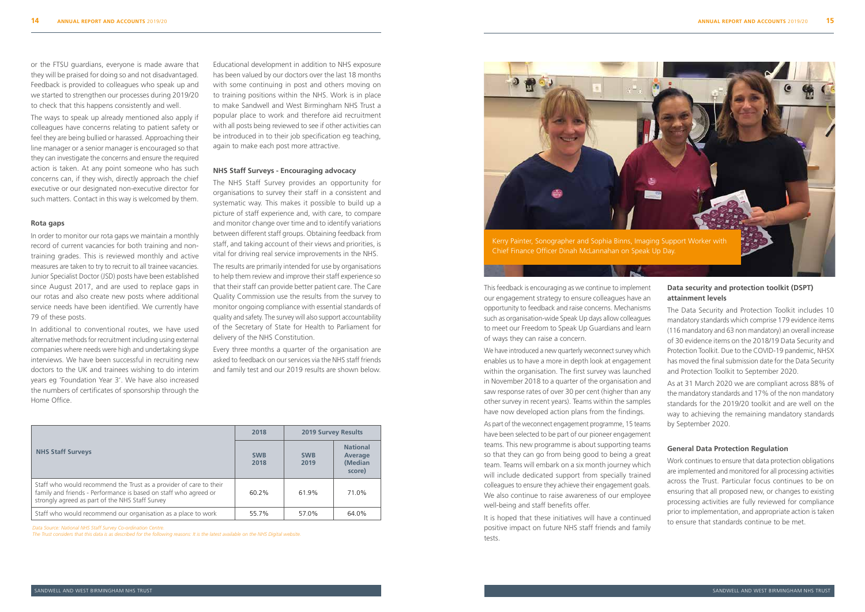or the FTSU guardians, everyone is made aware that they will be praised for doing so and not disadvantaged. Feedback is provided to colleagues who speak up and we started to strengthen our processes during 2019/20 to check that this happens consistently and well.

The ways to speak up already mentioned also apply if colleagues have concerns relating to patient safety or feel they are being bullied or harassed. Approaching their line manager or a senior manager is encouraged so that they can investigate the concerns and ensure the required action is taken. At any point someone who has such concerns can, if they wish, directly approach the chief executive or our designated non-executive director for such matters. Contact in this way is welcomed by them.

#### **Rota gaps**

In order to monitor our rota gaps we maintain a monthly record of current vacancies for both training and nontraining grades. This is reviewed monthly and active measures are taken to try to recruit to all trainee vacancies. Junior Specialist Doctor (JSD) posts have been established since August 2017, and are used to replace gaps in our rotas and also create new posts where additional service needs have been identified. We currently have 79 of these posts.

In additional to conventional routes, we have used alternative methods for recruitment including using external companies where needs were high and undertaking skype interviews. We have been successful in recruiting new doctors to the UK and trainees wishing to do interim years eg 'Foundation Year 3'. We have also increased the numbers of certificates of sponsorship through the Home Office.

Educational development in addition to NHS exposure has been valued by our doctors over the last 18 months with some continuing in post and others moving on to training positions within the NHS. Work is in place to make Sandwell and West Birmingham NHS Trust a popular place to work and therefore aid recruitment with all posts being reviewed to see if other activities can be introduced in to their job specification eg teaching, again to make each post more attractive.

#### **NHS Staff Surveys - Encouraging advocacy**

The NHS Staff Survey provides an opportunity for organisations to survey their staff in a consistent and systematic way. This makes it possible to build up a picture of staff experience and, with care, to compare and monitor change over time and to identify variations between different staff groups. Obtaining feedback from staff, and taking account of their views and priorities, is vital for driving real service improvements in the NHS. The results are primarily intended for use by organisations to help them review and improve their staff experience so that their staff can provide better patient care. The Care Quality Commission use the results from the survey to monitor ongoing compliance with essential standards of quality and safety. The survey will also support accountability of the Secretary of State for Health to Parliament for delivery of the NHS Constitution.

Every three months a quarter of the organisation are asked to feedback on our services via the NHS staff friends and family test and our 2019 results are shown below.

|                                                                                                                                                                                           | 2018               | <b>2019 Survey Results</b> |                                                 |
|-------------------------------------------------------------------------------------------------------------------------------------------------------------------------------------------|--------------------|----------------------------|-------------------------------------------------|
| <b>NHS Staff Surveys</b>                                                                                                                                                                  | <b>SWB</b><br>2018 | <b>SWB</b><br>2019         | <b>National</b><br>Average<br>(Median<br>score) |
| Staff who would recommend the Trust as a provider of care to their<br>family and friends - Performance is based on staff who agreed or<br>strongly agreed as part of the NHS Staff Survey | 60.2%              | 61.9%                      | 71.0%                                           |
| Staff who would recommend our organisation as a place to work                                                                                                                             | 55.7%              | 57.0%                      | 64.0%                                           |

*Data Source: National NHS Staff Survey Co-ordination Centre.* 

*The Trust considers that this data is as described for the following reasons: It is the latest available on the NHS Digital website.*

## This feedback is encouraging as we continue to implement our engagement strategy to ensure colleagues have an opportunity to feedback and raise concerns. Mechanisms such as organisation-wide Speak Up days allow colleagues to meet our Freedom to Speak Up Guardians and learn of ways they can raise a concern.

We have introduced a new quarterly weconnect survey which enables us to have a more in depth look at engagement within the organisation. The first survey was launched in November 2018 to a quarter of the organisation and saw response rates of over 30 per cent (higher than any other survey in recent years). Teams within the samples have now developed action plans from the findings.

As part of the weconnect engagement programme, 15 teams have been selected to be part of our pioneer engagement teams. This new programme is about supporting teams so that they can go from being good to being a great team. Teams will embark on a six month journey which will include dedicated support from specially trained colleagues to ensure they achieve their engagement goals. We also continue to raise awareness of our employee well-being and staff benefits offer.

It is hoped that these initiatives will have a continued positive impact on future NHS staff friends and family tests.

## **Data security and protection toolkit (DSPT) attainment levels**

The Data Security and Protection Toolkit includes 10 mandatory standards which comprise 179 evidence items (116 mandatory and 63 non mandatory) an overall increase of 30 evidence items on the 2018/19 Data Security and Protection Toolkit. Due to the COVID-19 pandemic, NHSX has moved the final submission date for the Data Security and Protection Toolkit to September 2020.

As at 31 March 2020 we are compliant across 88% of the mandatory standards and 17% of the non mandatory standards for the 2019/20 toolkit and are well on the way to achieving the remaining mandatory standards by September 2020.

#### **General Data Protection Regulation**

Work continues to ensure that data protection obligations are implemented and monitored for all processing activities across the Trust. Particular focus continues to be on ensuring that all proposed new, or changes to existing processing activities are fully reviewed for compliance prior to implementation, and appropriate action is taken to ensure that standards continue to be met.

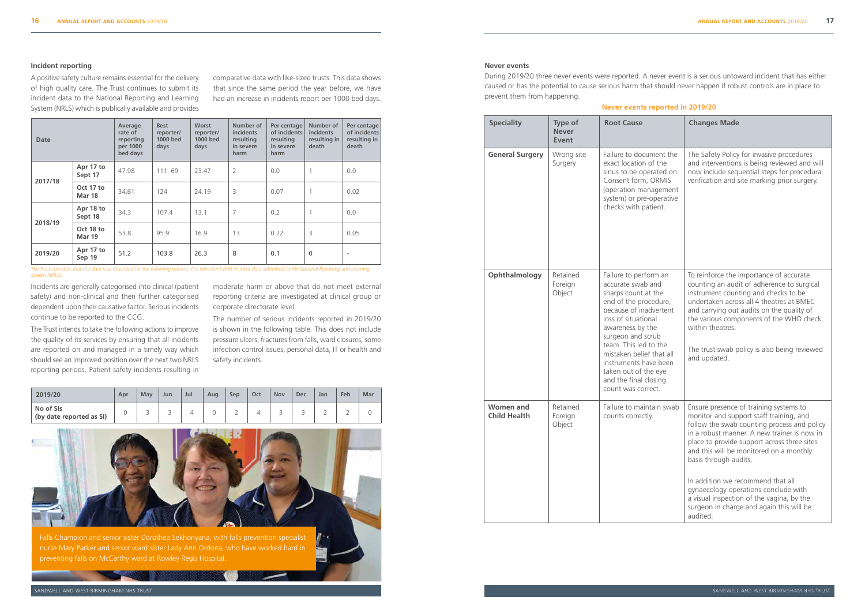#### **Incident reporting**

A positive safety culture remains essential for the delivery of high quality care. The Trust continues to submit its incident data to the National Reporting and Learning System (NRLS) which is publically available and provides

Incidents are generally categorised into clinical (patient safety) and non-clinical and then further categorised dependent upon their causative factor. Serious incidents continue to be reported to the CCG.

The Trust intends to take the following actions to improve the quality of its services by ensuring that all incidents are reported on and managed in a timely way which should see an improved position over the next two NRLS reporting periods. Patient safety incidents resulting in

| Date    |                            | Average<br>rate of<br>reporting<br>per 1000<br>bed days | <b>Best</b><br>reporter/<br>1000 bed<br>days | <b>Worst</b><br>reporter/<br>1000 bed<br>days | Number of<br>incidents<br>resulting<br>in severe<br>harm | Per centage<br>of incidents<br>resulting<br>in severe<br>harm | Number of<br>incidents<br>resulting in<br>death | Per centage<br>of incidents<br>resulting in<br>death |
|---------|----------------------------|---------------------------------------------------------|----------------------------------------------|-----------------------------------------------|----------------------------------------------------------|---------------------------------------------------------------|-------------------------------------------------|------------------------------------------------------|
| 2017/18 | Apr 17 to<br>Sept 17       | 47.98                                                   | 111.69                                       | 23.47                                         | $\overline{2}$                                           | 0.0                                                           |                                                 | 0.0                                                  |
|         | Oct 17 to<br><b>Mar 18</b> | 34.61                                                   | 124                                          | 24.19                                         | 3                                                        | 0.07                                                          |                                                 | 0.02                                                 |
| 2018/19 | Apr 18 to<br>Sept 18       | 34.3                                                    | 107.4                                        | 13.1                                          | $\overline{7}$                                           | 0.2                                                           |                                                 | 0.0                                                  |
|         | Oct 18 to<br><b>Mar 19</b> | 53.8                                                    | 95.9                                         | 16.9                                          | 13                                                       | 0.22                                                          | 3                                               | 0.05                                                 |
| 2019/20 | Apr 17 to<br>Sep 19        | 51.2                                                    | 103.8                                        | 26.3                                          | 8                                                        | 0.1                                                           | $\mathbf 0$                                     | $\overline{\phantom{a}}$                             |

| 2019/20                               | Apr | May | Jun | Jul | Aug | <b>Sep</b> | Oct | <b>Nov</b> | Dec | Jan                           | Feb | Mar |
|---------------------------------------|-----|-----|-----|-----|-----|------------|-----|------------|-----|-------------------------------|-----|-----|
| No of SIs<br>(by date reported as SI) |     | ◡   | ٮ   |     |     | ∸          |     | ٮ          |     | $\overline{\phantom{0}}$<br>∼ | ∸   |     |



comparative data with like-sized trusts. This data shows that since the same period the year before, we have had an increase in incidents report per 1000 bed days.

moderate harm or above that do not meet external reporting criteria are investigated at clinical group or corporate directorate level.

The number of serious incidents reported in 2019/20 is shown in the following table. This does not include pressure ulcers, fractures from falls, ward closures, some infection control issues, personal data, IT or health and safety incidents.

 $B - 1$ 

The Trust considers that this data is as described for the following reasons: It is consistent with incident data submitted to the National Reporting and Learning *System (NRLS).*

#### **Never events**

During 2019/20 three never events were reported. A never event is a serious untoward incident that has either caused or has the potential to cause serious harm that should never happen if robust controls are in place to prevent them from happening.

| <b>Speciality</b>                       | Type of<br><b>Never</b><br>Event | <b>Root Cause</b>                                                                                                                                                                                                                                                                                                                         | <b>Changes Made</b>                                                                                                                                                                                                                                                                                                                                                                                                                                                                  |
|-----------------------------------------|----------------------------------|-------------------------------------------------------------------------------------------------------------------------------------------------------------------------------------------------------------------------------------------------------------------------------------------------------------------------------------------|--------------------------------------------------------------------------------------------------------------------------------------------------------------------------------------------------------------------------------------------------------------------------------------------------------------------------------------------------------------------------------------------------------------------------------------------------------------------------------------|
| <b>General Surgery</b>                  | Wrong site<br>Surgery            | Failure to document the<br>exact location of the<br>sinus to be operated on:<br>Consent form, ORMIS<br>(operation management<br>system) or pre-operative<br>checks with patient.                                                                                                                                                          | The Safety Policy for invasive procedures<br>and interventions is being reviewed and will<br>now include sequential steps for procedural<br>verification and site marking prior surgery.                                                                                                                                                                                                                                                                                             |
| Ophthalmology                           | Retained<br>Foreign<br>Object    | Failure to perform an<br>accurate swab and<br>sharps count at the<br>end of the procedure,<br>because of inadvertent<br>loss of situational<br>awareness by the<br>surgeon and scrub<br>team. This led to the<br>mistaken belief that all<br>instruments have been<br>taken out of the eye<br>and the final closing<br>count was correct. | To reinforce the importance of accurate<br>counting an audit of adherence to surgical<br>instrument counting and checks to be<br>undertaken across all 4 theatres at BMEC<br>and carrying out audits on the quality of<br>the various components of the WHO check<br>within theatres.<br>The trust swab policy is also being reviewed<br>and updated.                                                                                                                                |
| <b>Women and</b><br><b>Child Health</b> | Retained<br>Foreign<br>Object    | Failure to maintain swab<br>counts correctly.                                                                                                                                                                                                                                                                                             | Ensure presence of training systems to<br>monitor and support staff training, and<br>follow the swab counting process and policy<br>in a robust manner. A new trainer is now in<br>place to provide support across three sites<br>and this will be monitored on a monthly<br>basis through audits.<br>In addition we recommend that all<br>gynaecology operations conclude with<br>a visual inspection of the vagina, by the<br>surgeon in charge and again this will be<br>audited. |

### **Never events reported in 2019/20**

Falls Champion and senior sister Dorothea Sekhonyana, with falls prevention specialist nurse Mary Parker and senior ward sister Lady Ann Ordona, who have worked hard in preventing falls on McCarthy ward at Rowley Regis Hospital.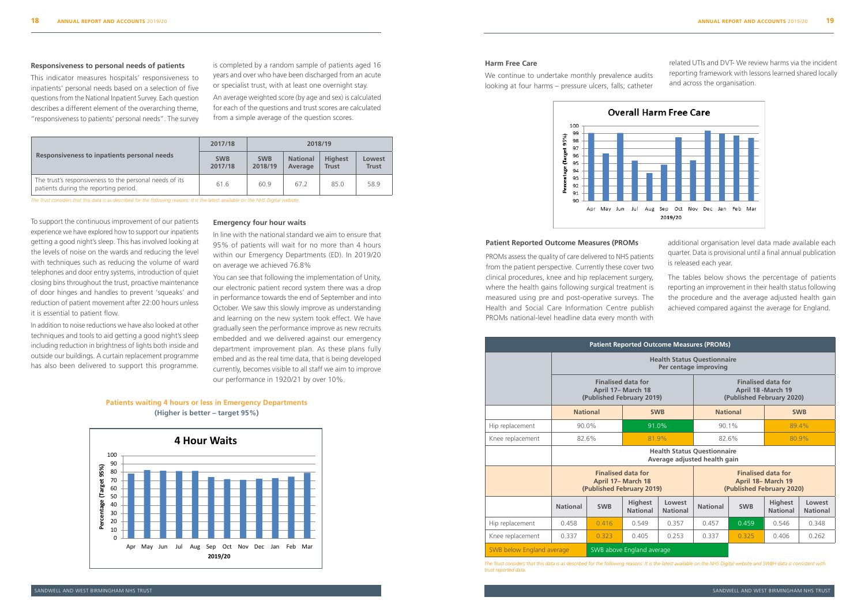#### **Responsiveness to personal needs of patients**

This indicator measures hospitals' responsiveness to inpatients' personal needs based on a selection of five questions from the National Inpatient Survey. Each question describes a different element of the overarching theme, "responsiveness to patients' personal needs". The survey

You can see that following the implementation of Unity, our electronic patient record system there was a drop in performance towards the end of September and into October. We saw this slowly improve as understanding Intial to patient flow.<br>and learning on the new system took effect. We have gradually seen the performance improve as new recruits embedded and we delivered against our emergency department improvement plan. As these plans fully embed and as the real time data, that is being developed where the support this programme. The currently, becomes visible to all staff we aim to improve our performance in 1920/21 by over 10%. In addition to noise reductions we have also looked at other and coming on the new system took enect. The individually reduction to noise reductions we have also looked at other and and our buildings. A current our buildin

is completed by a random sample of patients aged 16 years and over who have been discharged from an acute or specialist trust, with at least one overnight stay.

An average weighted score (by age and sex) is calculated for each of the questions and trust scores are calculated from a simple average of the question scores.

#### **Emergency four hour waits**

In line with the national standard we aim to ensure that 95% of patients will wait for no more than 4 hours within our Emergency Departments (ED). In 2019/20 on average we achieved 76.8%

|                                                                                                  | 2017/18               |                       | 2018/19                    |                                |                        |
|--------------------------------------------------------------------------------------------------|-----------------------|-----------------------|----------------------------|--------------------------------|------------------------|
| Responsiveness to inpatients personal needs                                                      | <b>SWB</b><br>2017/18 | <b>SWB</b><br>2018/19 | <b>National</b><br>Average | <b>Highest</b><br><b>Trust</b> | Lowest<br><b>Trust</b> |
| The trust's responsiveness to the personal needs of its<br>patients during the reporting period. | 61.6                  | 609                   | 67.2                       | 85.0                           | 58.9                   |

*The Trust considers that this data is as described for the following reasons: It is the latest available on the NHS Digital website.*

To support the continuous improvement of our patients experience we have explored how to support our inpatients getting a good night's sleep. This has involved looking at the levels of noise on the wards and reducing the level with techniques such as reducing the volume of ward telephones and door entry systems, introduction of quiet closing bins throughout the trust, proactive maintenance of door hinges and handles to prevent 'squeaks' and reduction of patient movement after 22:00 hours unless it is essential to patient flow.

y addaily seen the product product product techniques and tools to aid getting a good night's sleep including reduction in brightness of lights both inside and outside our buildings. A curtain replacement programme **Emergency four hour waits** has also been delivered to support this programme.<br>In line with the national staff we aim to in

#### **Patient Reported Outcome Measures (PROMs**

PROMs assess the quality of care delivered to NHS patients from the patient perspective. Currently these cover two clinical procedures, knee and hip replacement surgery, where the health gains following surgical treatment is measured using pre and post-operative surveys. The Health and Social Care Information Centre publish PROMs national-level headline data every month with

additional organisation level data made available each quarter. Data is provisional until a final annual publication is released each year.

The tables below shows the percentage of patients reporting an improvement in their health status following the procedure and the average adjusted health gain achieved compared against the average for England.

| <b>Patient Reported Outcome Measures (PROMs)</b> |                           |                                                                              |                                                                              |                           |                                                                    |            |                                                                               |                           |  |
|--------------------------------------------------|---------------------------|------------------------------------------------------------------------------|------------------------------------------------------------------------------|---------------------------|--------------------------------------------------------------------|------------|-------------------------------------------------------------------------------|---------------------------|--|
|                                                  |                           | <b>Health Status Questionnaire</b><br>Per centage improving                  |                                                                              |                           |                                                                    |            |                                                                               |                           |  |
|                                                  |                           |                                                                              | <b>Finalised data for</b><br>April 17- March 18<br>(Published February 2019) |                           |                                                                    |            | <b>Finalised data for</b><br>April 18 - March 19<br>(Published February 2020) |                           |  |
|                                                  | <b>National</b>           |                                                                              | <b>SWB</b>                                                                   |                           | <b>National</b>                                                    |            |                                                                               | <b>SWB</b>                |  |
| Hip replacement                                  | 90.0%                     |                                                                              | 91.0%                                                                        |                           | 90.1%                                                              |            | 89.4%                                                                         |                           |  |
| Knee replacement                                 | 82.6%                     |                                                                              | 81.9%                                                                        |                           | 82.6%<br>80.9%                                                     |            |                                                                               |                           |  |
|                                                  |                           |                                                                              |                                                                              |                           | <b>Health Status Questionnaire</b><br>Average adjusted health gain |            |                                                                               |                           |  |
|                                                  |                           | <b>Finalised data for</b><br>April 17- March 18<br>(Published February 2019) |                                                                              |                           |                                                                    |            | <b>Finalised data for</b><br>April 18- March 19<br>(Published February 2020)  |                           |  |
|                                                  | <b>National</b>           | <b>SWB</b>                                                                   | <b>Highest</b><br><b>National</b>                                            | Lowest<br><b>National</b> | <b>National</b>                                                    | <b>SWB</b> | <b>Highest</b><br><b>National</b>                                             | Lowest<br><b>National</b> |  |
| Hip replacement                                  | 0.458                     | 0416                                                                         | 0.549                                                                        | 0.357                     | 0.457                                                              | 0.459      | 0.546                                                                         | 0.348                     |  |
| Knee replacement                                 | 0.337                     | 0.405<br>0.253<br>0.323<br>0.337                                             |                                                                              |                           |                                                                    | 0.325      | 0.406                                                                         | 0.262                     |  |
| SWB below England average                        | SWB above England average |                                                                              |                                                                              |                           |                                                                    |            |                                                                               |                           |  |

*The Trust considers that this data is as described for the following reasons: It is the latest available on the NHS Digital website and SWBH data is consistent with trust reported data.*

**Patients waiting 4 hours or less in Emergency Departments (Higher is better – target 95%)** improve our position.



#### **Harm Free Care**

We continue to undertake monthly prevalence audits looking at four harms – pressure ulcers, falls; catheter



related UTIs and DVT- We review harms via the incident reporting framework with lessons learned shared locally and across the organisation.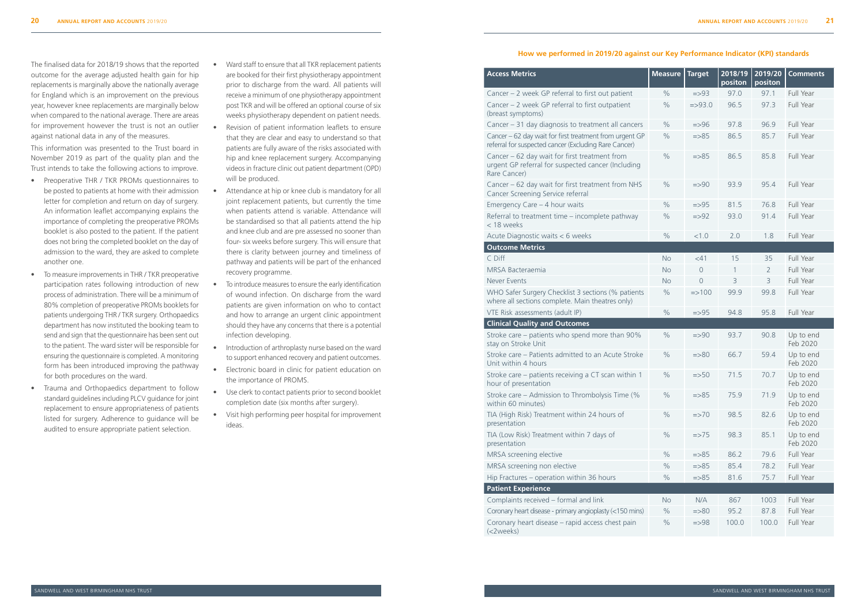## **How we performed in 2019/20 against our Key Performance Indicator (KPI) standards**

### **Access Metrics**

#### **Outcome Metrics**

| <b>Access Metrics</b>                                                                                               | <b>Measure</b> | <b>Target</b>     | 2018/19<br>positon | 2019/20<br>positon | <b>Comments</b>       |
|---------------------------------------------------------------------------------------------------------------------|----------------|-------------------|--------------------|--------------------|-----------------------|
| Cancer - 2 week GP referral to first out patient                                                                    | $\frac{0}{0}$  | $=$ >93           | 97.0               | 97.1               | Full Year             |
| Cancer - 2 week GP referral to first outpatient<br>(breast symptoms)                                                | $\frac{0}{0}$  | $= > 93.0$        | 96.5               | 97.3               | Full Year             |
| Cancer - 31 day diagnosis to treatment all cancers                                                                  | $\frac{0}{0}$  | $=$ >96           | 97.8               | 96.9               | Full Year             |
| Cancer - 62 day wait for first treatment from urgent GP<br>referral for suspected cancer (Excluding Rare Cancer)    | $\frac{0}{0}$  | $= > 85$          | 86.5               | 85.7               | Full Year             |
| Cancer - 62 day wait for first treatment from<br>urgent GP referral for suspected cancer (Including<br>Rare Cancer) | $\frac{0}{0}$  | $= > 85$          | 86.5               | 85.8               | Full Year             |
| Cancer - 62 day wait for first treatment from NHS<br>Cancer Screening Service referral                              | $\frac{0}{0}$  | $= > 90$          | 93.9               | 95.4               | Full Year             |
| Emergency Care - 4 hour waits                                                                                       | $\%$           | $=$ >95           | 81.5               | 76.8               | Full Year             |
| Referral to treatment time - incomplete pathway<br>< 18 weeks                                                       | $\%$           | $=$ >92           | 93.0               | 91.4               | Full Year             |
| Acute Diagnostic waits < 6 weeks                                                                                    | $\%$           | < 1.0             | 2.0                | 1.8                | Full Year             |
| <b>Outcome Metrics</b>                                                                                              |                |                   |                    |                    |                       |
| C Diff                                                                                                              | <b>No</b>      | $<$ 41            | 15                 | 35                 | Full Year             |
| MRSA Bacteraemia                                                                                                    | <b>No</b>      | $\theta$          | 1                  | $\overline{2}$     | Full Year             |
| <b>Never Events</b>                                                                                                 | <b>No</b>      | $\overline{0}$    | 3                  | 3                  | Full Year             |
| WHO Safer Surgery Checklist 3 sections (% patients<br>where all sections complete. Main theatres only)              | $\frac{0}{0}$  | $\Rightarrow 100$ | 99.9               | 99.8               | Full Year             |
| VTE Risk assessments (adult IP)                                                                                     | $\frac{0}{0}$  | $=$ >95           | 94.8               | 95.8               | Full Year             |
| <b>Clinical Quality and Outcomes</b>                                                                                |                |                   |                    |                    |                       |
| Stroke care - patients who spend more than 90%<br>stay on Stroke Unit                                               | $\frac{0}{0}$  | $= > 90$          | 93.7               | 90.8               | Up to end<br>Feb 2020 |
| Stroke care - Patients admitted to an Acute Stroke<br>Unit within 4 hours                                           | $\frac{0}{0}$  | $= > 80$          | 66.7               | 59.4               | Up to end<br>Feb 2020 |
| Stroke care – patients receiving a CT scan within 1<br>hour of presentation                                         | $\frac{0}{0}$  | $=$ 50            | 71.5               | 70.7               | Up to end<br>Feb 2020 |
| Stroke care - Admission to Thrombolysis Time (%<br>within 60 minutes)                                               | $\frac{0}{0}$  | $= > 85$          | 75.9               | 71.9               | Up to end<br>Feb 2020 |
| TIA (High Risk) Treatment within 24 hours of<br>presentation                                                        | $\%$           | $\Rightarrow 70$  | 98.5               | 82.6               | Up to end<br>Feb 2020 |
| TIA (Low Risk) Treatment within 7 days of<br>presentation                                                           | $\frac{0}{0}$  | $\approx$ 75      | 98.3               | 85.1               | Up to end<br>Feb 2020 |
| MRSA screening elective                                                                                             | $\%$           | $= > 85$          | 86.2               | 79.6               | Full Year             |
| MRSA screening non elective                                                                                         | $\frac{0}{0}$  | $=$ $>$ 85        | 85.4               | 78.2               | Full Year             |
| Hip Fractures - operation within 36 hours                                                                           | $\%$           | $= > 85$          | 81.6               | 75.7               | Full Year             |
| <b>Patient Experience</b>                                                                                           |                |                   |                    |                    |                       |
| Complaints received - formal and link                                                                               | <b>No</b>      | N/A               | 867                | 1003               | Full Year             |
| Coronary heart disease - primary angioplasty (<150 mins)                                                            | $\frac{0}{0}$  | $= > 80$          | 95.2               | 87.8               | Full Year             |
| Coronary heart disease - rapid access chest pain<br>(<2weeks)                                                       | $\%$           | $=$ >98           | 100.0              | 100.0              | Full Year             |

#### **Clinical Quality and Outcomes**

#### **Patient Experience**

The finalised data for 2018/19 shows that the reported outcome for the average adjusted health gain for hip replacements is marginally above the nationally average for England which is an improvement on the previous year, however knee replacements are marginally below when compared to the national average. There are areas for improvement however the trust is not an outlier against national data in any of the measures.

This information was presented to the Trust board in November 2019 as part of the quality plan and the Trust intends to take the following actions to improve.

- Preoperative THR / TKR PROMs questionnaires to be posted to patients at home with their admission letter for completion and return on day of surgery. An information leaflet accompanying explains the importance of completing the preoperative PROMs booklet is also posted to the patient. If the patient does not bring the completed booklet on the day of admission to the ward, they are asked to complete another one.
- To measure improvements in THR / TKR preoperative participation rates following introduction of new process of administration. There will be a minimum of 80% completion of preoperative PROMs booklets for patients undergoing THR / TKR surgery. Orthopaedics department has now instituted the booking team to send and sign that the questionnaire has been sent out to the patient. The ward sister will be responsible for ensuring the questionnaire is completed. A monitoring form has been introduced improving the pathway for both procedures on the ward.
- Trauma and Orthopaedics department to follow standard guidelines including PLCV guidance for joint replacement to ensure appropriateness of patients listed for surgery. Adherence to guidance will be audited to ensure appropriate patient selection.
- Ward staff to ensure that all TKR replacement patients are booked for their first physiotherapy appointment prior to discharge from the ward. All patients will receive a minimum of one physiotherapy appointment post TKR and will be offered an optional course of six weeks physiotherapy dependent on patient needs.
- Revision of patient information leaflets to ensure that they are clear and easy to understand so that patients are fully aware of the risks associated with hip and knee replacement surgery. Accompanying videos in fracture clinic out patient department (OPD) will be produced.
- Attendance at hip or knee club is mandatory for all joint replacement patients, but currently the time when patients attend is variable. Attendance will be standardised so that all patients attend the hip and knee club and are pre assessed no sooner than four- six weeks before surgery. This will ensure that there is clarity between journey and timeliness of pathway and patients will be part of the enhanced recovery programme.
- To introduce measures to ensure the early identification of wound infection. On discharge from the ward patients are given information on who to contact and how to arrange an urgent clinic appointment should they have any concerns that there is a potential infection developing.
- Introduction of arthroplasty nurse based on the ward to support enhanced recovery and patient outcomes.
- Electronic board in clinic for patient education on the importance of PROMS.
- Use clerk to contact patients prior to second booklet completion date (six months after surgery).
- Visit high performing peer hospital for improvement ideas.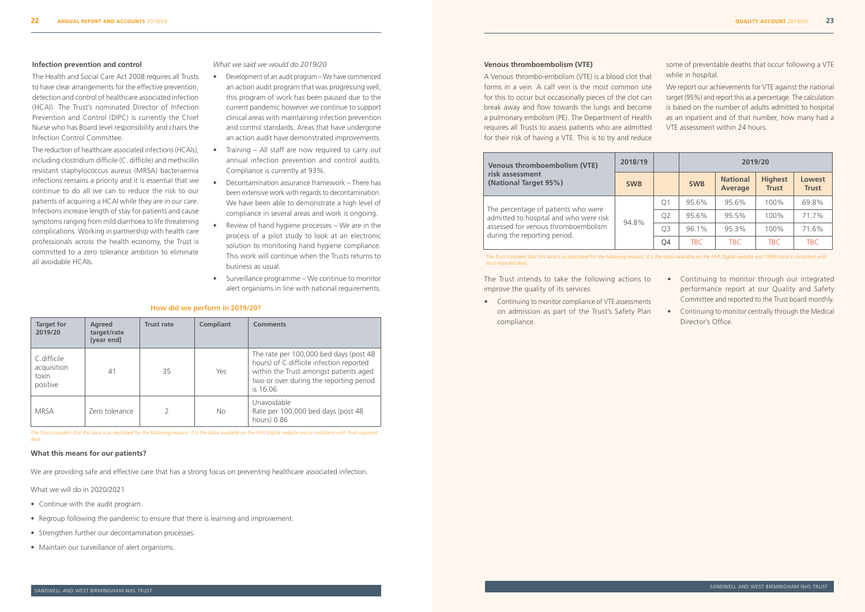#### **Venous thromboembolism (VTE)**

A Venous thrombo-embolism (VTE) is a blood clot that forms in a vein. A calf vein is the most common site for this to occur but occasionally pieces of the clot can break away and flow towards the lungs and become a pulmonary embolism (PE). The Department of Health requires all Trusts to assess patients who are admitted for their risk of having a VTE. This is to try and reduce

some of preventable deaths that occur following a VTE while in hospital.

We report our achievements for VTE against the national target (95%) and report this as a percentage. The calculation is based on the number of adults admitted to hospital as an inpatient and of that number, how many had a VTE assessment within 24 hours.

The Trust intends to take the following actions to improve the quality of its services

• Continuing to monitor compliance of VTE assessments on admission as part of the Trust's Safety Plan compliance.

- Continuing to monitor through our integrated performance report at our Quality and Safety Committee and reported to the Trust board monthly.
- Continuing to monitor centrally through the Medical Director's Office.

| <b>Venous thromboembolism (VTE)</b>                                           | 2018/19    |                | 2019/20    |                                   |                                |                        |  |
|-------------------------------------------------------------------------------|------------|----------------|------------|-----------------------------------|--------------------------------|------------------------|--|
| risk assessment<br>(National Target 95%)                                      | <b>SWB</b> |                | <b>SWB</b> | <b>National</b><br><b>Average</b> | <b>Highest</b><br><b>Trust</b> | Lowest<br><b>Trust</b> |  |
|                                                                               |            | Q <sub>1</sub> | 95.6%      | 95.6%                             | 100%                           | 69.8%                  |  |
| The percentage of patients who were<br>admitted to hospital and who were risk |            | Q <sub>2</sub> | 95.6%      | 95.5%                             | 100%                           | 71.7%                  |  |
| assessed for venous thromboembolism<br>during the reporting period.           | 94.8%      | Q3             | 96.1%      | 95.3%                             | 100%                           | 71.6%                  |  |
|                                                                               |            | Q4             | <b>TBC</b> | <b>TBC</b>                        | <b>TBC</b>                     | <b>TBC</b>             |  |

*The Trust considers that this data is as described for the following reasons: It is the latest available on the NHS Digital website and SWBH data is consistent with* 

## *trust reported data.*

#### **Infection prevention and control**

The Health and Social Care Act 2008 requires all Trusts to have clear arrangements for the effective prevention, detection and control of healthcare associated infection (HCAI). The Trust's nominated Director of Infection Prevention and Control (DIPC) is currently the Chief Nurse who has Board level responsibility and chairs the Infection Control Committee.

The reduction of healthcare associated infections (HCAIs), including clostridium difficile (C. difficile) and methicillin resistant staphylococcus aureus (MRSA) bacteraemia infections remains a priority and it is essential that we continue to do all we can to reduce the risk to our patients of acquiring a HCAI while they are in our care. Infections increase length of stay for patients and cause symptoms ranging from mild diarrhoea to life threatening complications. Working in partnership with health care professionals across the health economy, the Trust is committed to a zero tolerance ambition to eliminate all avoidable HCAIs.

*What we said we would do 2019/20* 

- Development of an audit program We have commenced an action audit program that was progressing well, this program of work has been paused due to the current pandemic however we continue to support clinical areas with maintaining infection prevention and control standards. Areas that have undergone an action audit have demonstrated improvements.
- Training All staff are now required to carry out annual infection prevention and control audits. Compliance is currently at 93%.
- Decontamination assurance framework There has been extensive work with regards to decontamination. We have been able to demonstrate a high level of compliance in several areas and work is ongoing.
- Review of hand hygiene processes We are in the process of a pilot study to look at an electronic solution to monitoring hand hygiene compliance. This work will continue when the Trusts returns to business as usual.
- Surveillance programme We continue to monitor alert organisms in line with national requirements.

| <b>Target for</b><br>2019/20                    | Agreed<br>target/rate<br>[year end] | <b>Trust rate</b> | <b>Compliant</b> | <b>Comments</b>                                                                                                                                                                     |
|-------------------------------------------------|-------------------------------------|-------------------|------------------|-------------------------------------------------------------------------------------------------------------------------------------------------------------------------------------|
| C.difficile<br>acquisition<br>toxin<br>positive | 41                                  | 35                | Yes              | The rate per 100,000 bed days (post 48<br>hours) of C.difficile infection reported<br>within the Trust amongst patients aged<br>two or over during the reporting period<br>is 16.06 |
| <b>MRSA</b>                                     | Zero tolerance                      |                   | <b>No</b>        | Unavoidable<br>Rate per 100,000 bed days (post 48<br>hours) 0.86                                                                                                                    |

*The Trust considers that this data is as described for the following reasons: It is the latest available on the NHS Digital website and is consistent with Trust reported data.*

#### **How did we perform in 2019/20?**

#### **What this means for our patients?**

We are providing safe and effective care that has a strong focus on preventing healthcare associated infection.

What we will do in 2020/2021

- Continue with the audit program.
- Regroup following the pandemic to ensure that there is learning and improvement.
- Strengthen further our decontamination processes.
- Maintain our surveillance of alert organisms.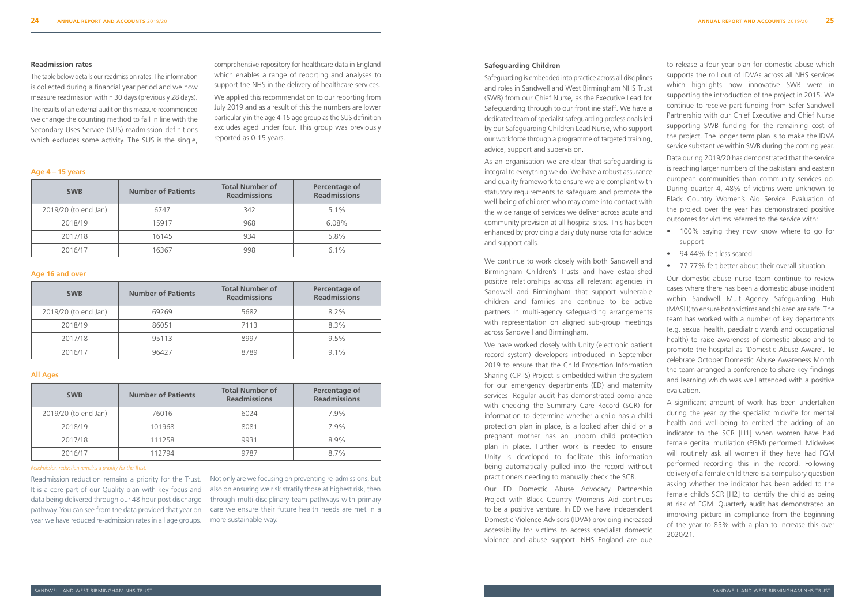#### **Safeguarding Children**

Safeguarding is embedded into practice across all disciplines and roles in Sandwell and West Birmingham NHS Trust (SWB) from our Chief Nurse, as the Executive Lead for Safeguarding through to our frontline staff. We have a dedicated team of specialist safeguarding professionals led by our Safeguarding Children Lead Nurse, who support our workforce through a programme of targeted training, advice, support and supervision.

As an organisation we are clear that safeguarding is integral to everything we do. We have a robust assurance and quality framework to ensure we are compliant with statutory requirements to safeguard and promote the well-being of children who may come into contact with the wide range of services we deliver across acute and community provision at all hospital sites. This has been enhanced by providing a daily duty nurse rota for advice and support calls.

We continue to work closely with both Sandwell and Birmingham Children's Trusts and have established positive relationships across all relevant agencies in Sandwell and Birmingham that support vulnerable children and families and continue to be active partners in multi-agency safeguarding arrangements with representation on aligned sub-group meetings across Sandwell and Birmingham.

We have worked closely with Unity (electronic patient record system) developers introduced in September 2019 to ensure that the Child Protection Information Sharing (CP-IS) Project is embedded within the system for our emergency departments (ED) and maternity services. Regular audit has demonstrated compliance with checking the Summary Care Record (SCR) for information to determine whether a child has a child protection plan in place, is a looked after child or a pregnant mother has an unborn child protection plan in place. Further work is needed to ensure Unity is developed to facilitate this information being automatically pulled into the record without practitioners needing to manually check the SCR.

Our ED Domestic Abuse Advocacy Partnership Project with Black Country Women's Aid continues to be a positive venture. In ED we have Independent Domestic Violence Advisors (IDVA) providing increased accessibility for victims to access specialist domestic violence and abuse support. NHS England are due

to release a four year plan for domestic abuse which supports the roll out of IDVAs across all NHS services which highlights how innovative SWB were in supporting the introduction of the project in 2015. We continue to receive part funding from Safer Sandwell Partnership with our Chief Executive and Chief Nurse supporting SWB funding for the remaining cost of the project. The longer term plan is to make the IDVA service substantive within SWB during the coming year. Data during 2019/20 has demonstrated that the service is reaching larger numbers of the pakistani and eastern european communities than community services do. During quarter 4, 48% of victims were unknown to Black Country Women's Aid Service. Evaluation of the project over the year has demonstrated positive outcomes for victims referred to the service with:

- 100% saying they now know where to go for support
- 94.44% felt less scared
- 77.77% felt better about their overall situation

Our domestic abuse nurse team continue to review cases where there has been a domestic abuse incident within Sandwell Multi-Agency Safeguarding Hub (MASH) to ensure both victims and children are safe. The team has worked with a number of key departments (e.g. sexual health, paediatric wards and occupational health) to raise awareness of domestic abuse and to promote the hospital as 'Domestic Abuse Aware'. To celebrate October Domestic Abuse Awareness Month the team arranged a conference to share key findings and learning which was well attended with a positive evaluation.

A significant amount of work has been undertaken during the year by the specialist midwife for mental health and well-being to embed the adding of an indicator to the SCR [H1] when women have had female genital mutilation (FGM) performed. Midwives will routinely ask all women if they have had FGM performed recording this in the record. Following delivery of a female child there is a compulsory question asking whether the indicator has been added to the female child's SCR [H2] to identify the child as being at risk of FGM. Quarterly audit has demonstrated an improving picture in compliance from the beginning of the year to 85% with a plan to increase this over 2020/21.

**Age 4 – 15 years**

| <b>SWB</b>           | <b>Number of Patients</b> | <b>Total Number of</b><br><b>Readmissions</b> | Percentage of<br><b>Readmissions</b> |
|----------------------|---------------------------|-----------------------------------------------|--------------------------------------|
| 2019/20 (to end Jan) | 6747                      | 342                                           | $5.1\%$                              |
| 2018/19              | 15917                     | 968                                           | 6.08%                                |
| 2017/18              | 16145                     | 934                                           | 5.8%                                 |
| 2016/17              | 16367                     | 998                                           | $6.1\%$                              |

#### **Age 16 and over**

| <b>SWB</b>           | <b>Number of Patients</b> | <b>Total Number of</b><br><b>Readmissions</b> | Percentage of<br><b>Readmissions</b> |
|----------------------|---------------------------|-----------------------------------------------|--------------------------------------|
| 2019/20 (to end Jan) | 69269                     | 5682                                          | $8.2\%$                              |
| 2018/19              | 86051                     | 7113                                          | $8.3\%$                              |
| 2017/18              | 95113                     | 8997                                          | $9.5\%$                              |
| 2016/17              | 96427                     | 8789                                          | $9.1\%$                              |

#### **All Ages**

| <b>SWB</b>           | <b>Number of Patients</b> | <b>Total Number of</b><br><b>Readmissions</b> | Percentage of<br><b>Readmissions</b> |
|----------------------|---------------------------|-----------------------------------------------|--------------------------------------|
| 2019/20 (to end Jan) | 76016                     | 6024                                          | 7.9%                                 |
| 2018/19              | 101968                    | 8081                                          | 7.9%                                 |
| 2017/18              | 111258                    | 9931                                          | 8.9%                                 |
| 2016/17              | 112794                    | 9787                                          | $8.7\%$                              |

#### **Readmission rates**

The table below details our readmission rates. The information is collected during a financial year period and we now measure readmission within 30 days (previously 28 days).

The results of an external audit on this measure recommended we change the counting method to fall in line with the Secondary Uses Service (SUS) readmission definitions which excludes some activity. The SUS is the single,

comprehensive repository for healthcare data in England which enables a range of reporting and analyses to support the NHS in the delivery of healthcare services. We applied this recommendation to our reporting from July 2019 and as a result of this the numbers are lower particularly in the age 4-15 age group as the SUS definition excludes aged under four. This group was previously reported as 0-15 years.

*Readmission reduction remains a priority for the Trust.*

Readmission reduction remains a priority for the Trust. It is a core part of our Quality plan with key focus and also on ensuring we risk stratify those at highest risk, then data being delivered through our 48 hour post discharge pathway. You can see from the data provided that year on care we ensure their future health needs are met in a year we have reduced re-admission rates in all age groups.

Not only are we focusing on preventing re-admissions, but through multi-disciplinary team pathways with primary more sustainable way.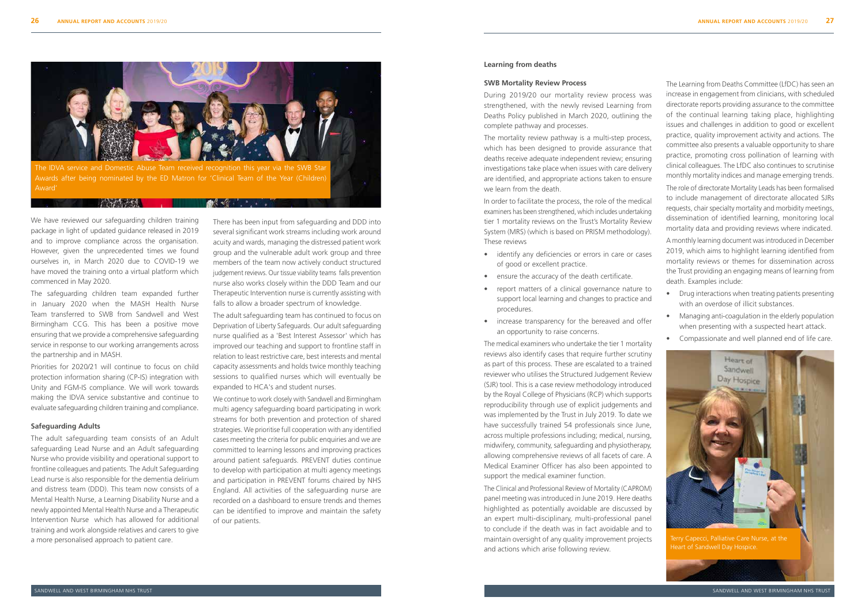#### **Learning from deaths**

#### **SWB Mortality Review Process**

During 2019/20 our mortality review process was strengthened, with the newly revised Learning from Deaths Policy published in March 2020, outlining the complete pathway and processes.

The mortality review pathway is a multi-step process, which has been designed to provide assurance that deaths receive adequate independent review; ensuring investigations take place when issues with care delivery are identified, and appropriate actions taken to ensure we learn from the death.

In order to facilitate the process, the role of the medical examiners has been strengthened, which includes undertaking tier 1 mortality reviews on the Trust's Mortality Review System (MRS) (which is based on PRISM methodology). These reviews

- identify any deficiencies or errors in care or cases of good or excellent practice.
- ensure the accuracy of the death certificate.
- report matters of a clinical governance nature to support local learning and changes to practice and procedures.
- increase transparency for the bereaved and offer an opportunity to raise concerns.

The medical examiners who undertake the tier 1 mortality reviews also identify cases that require further scrutiny as part of this process. These are escalated to a trained reviewer who utilises the Structured Judgement Review (SJR) tool. This is a case review methodology introduced by the Royal College of Physicians (RCP) which supports reproducibility through use of explicit judgements and was implemented by the Trust in July 2019. To date we have successfully trained 54 professionals since June, across multiple professions including; medical, nursing, midwifery, community, safeguarding and physiotherapy, allowing comprehensive reviews of all facets of care. A Medical Examiner Officer has also been appointed to support the medical examiner function.

The Clinical and Professional Review of Mortality (CAPROM) panel meeting was introduced in June 2019. Here deaths highlighted as potentially avoidable are discussed by an expert multi-disciplinary, multi-professional panel to conclude if the death was in fact avoidable and to maintain oversight of any quality improvement projects and actions which arise following review.

The Learning from Deaths Committee (LfDC) has seen an increase in engagement from clinicians, with scheduled directorate reports providing assurance to the committee of the continual learning taking place, highlighting issues and challenges in addition to good or excellent practice, quality improvement activity and actions. The committee also presents a valuable opportunity to share practice, promoting cross pollination of learning with clinical colleagues. The LfDC also continues to scrutinise monthly mortality indices and manage emerging trends. The role of directorate Mortality Leads has been formalised to include management of directorate allocated SJRs requests, chair specialty mortality and morbidity meetings, dissemination of identified learning, monitoring local mortality data and providing reviews where indicated.

A monthly learning document was introduced in December 2019, which aims to highlight learning identified from mortality reviews or themes for dissemination across the Trust providing an engaging means of learning from death. Examples include:

- Drug interactions when treating patients presenting with an overdose of illicit substances.
- Managing anti-coagulation in the elderly population when presenting with a suspected heart attack.
- Compassionate and well planned end of life care.

We have reviewed our safeguarding children training package in light of updated guidance released in 2019 and to improve compliance across the organisation. However, given the unprecedented times we found ourselves in, in March 2020 due to COVID-19 we have moved the training onto a virtual platform which commenced in May 2020.

The safeguarding children team expanded further in January 2020 when the MASH Health Nurse Team transferred to SWB from Sandwell and West Birmingham CCG. This has been a positive move ensuring that we provide a comprehensive safeguarding service in response to our working arrangements across the partnership and in MASH.

Priorities for 2020/21 will continue to focus on child protection information sharing (CP-IS) integration with Unity and FGM-IS compliance. We will work towards making the IDVA service substantive and continue to evaluate safeguarding children training and compliance.

#### **Safeguarding Adults**

The adult safeguarding team consists of an Adult safeguarding Lead Nurse and an Adult safeguarding Nurse who provide visibility and operational support to frontline colleagues and patients. The Adult Safeguarding Lead nurse is also responsible for the dementia delirium and distress team (DDD). This team now consists of a Mental Health Nurse, a Learning Disability Nurse and a newly appointed Mental Health Nurse and a Therapeutic Intervention Nurse which has allowed for additional training and work alongside relatives and carers to give a more personalised approach to patient care.

There has been input from safeguarding and DDD into several significant work streams including work around acuity and wards, managing the distressed patient work group and the vulnerable adult work group and three members of the team now actively conduct structured judgement reviews. Our tissue viability teams falls prevention nurse also works closely within the DDD Team and our Therapeutic Intervention nurse is currently assisting with falls to allow a broader spectrum of knowledge.

The adult safeguarding team has continued to focus on Deprivation of Liberty Safeguards. Our adult safeguarding nurse qualified as a 'Best Interest Assessor' which has improved our teaching and support to frontline staff in relation to least restrictive care, best interests and mental capacity assessments and holds twice monthly teaching sessions to qualified nurses which will eventually be expanded to HCA's and student nurses.

We continue to work closely with Sandwell and Birmingham multi agency safeguarding board participating in work streams for both prevention and protection of shared strategies. We prioritise full cooperation with any identified cases meeting the criteria for public enquiries and we are committed to learning lessons and improving practices around patient safeguards. PREVENT duties continue to develop with participation at multi agency meetings and participation in PREVENT forums chaired by NHS England. All activities of the safeguarding nurse are recorded on a dashboard to ensure trends and themes can be identified to improve and maintain the safety of our patients.



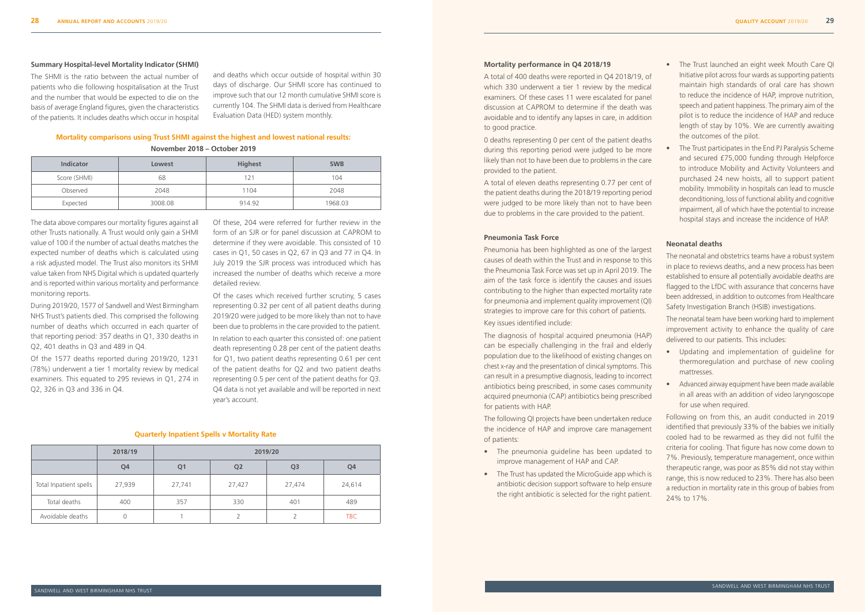The data above compares our mortality figures against all other Trusts nationally. A Trust would only gain a SHMI value of 100 if the number of actual deaths matches the expected number of deaths which is calculated using a risk adjusted model. The Trust also monitors its SHMI value taken from NHS Digital which is updated quarterly and is reported within various mortality and performance monitoring reports.

During 2019/20, 1577 of Sandwell and West Birmingham NHS Trust's patients died. This comprised the following number of deaths which occurred in each quarter of that reporting period: 357 deaths in Q1, 330 deaths in Q2, 401 deaths in Q3 and 489 in Q4.

Of the 1577 deaths reported during 2019/20, 1231 (78%) underwent a tier 1 mortality review by medical examiners. This equated to 295 reviews in Q1, 274 in Q2, 326 in Q3 and 336 in Q4.

Of these, 204 were referred for further review in the form of an SJR or for panel discussion at CAPROM to determine if they were avoidable. This consisted of 10 cases in Q1, 50 cases in Q2, 67 in Q3 and 77 in Q4. In July 2019 the SJR process was introduced which has increased the number of deaths which receive a more detailed review.

Of the cases which received further scrutiny, 5 cases representing 0.32 per cent of all patient deaths during 2019/20 were judged to be more likely than not to have been due to problems in the care provided to the patient.

In relation to each quarter this consisted of: one patient death representing 0.28 per cent of the patient deaths for Q1, two patient deaths representing 0.61 per cent of the patient deaths for Q2 and two patient deaths representing 0.5 per cent of the patient deaths for Q3. Q4 data is not yet available and will be reported in next year's account.

#### **Mortality performance in Q4 2018/19**

A total of 400 deaths were reported in Q4 2018/19, of which 330 underwent a tier 1 review by the medical examiners. Of these cases 11 were escalated for panel discussion at CAPROM to determine if the death was avoidable and to identify any lapses in care, in addition to good practice.

0 deaths representing 0 per cent of the patient deaths during this reporting period were judged to be more likely than not to have been due to problems in the care provided to the patient.

A total of eleven deaths representing 0.77 per cent of the patient deaths during the 2018/19 reporting period were judged to be more likely than not to have been due to problems in the care provided to the patient.

- Updating and implementation of guideline for thermoregulation and purchase of new cooling mattresses.
- Advanced airway equipment have been made available in all areas with an addition of video laryngoscope for use when required.

#### **Pneumonia Task Force**

Pneumonia has been highlighted as one of the largest causes of death within the Trust and in response to this the Pneumonia Task Force was set up in April 2019. The aim of the task force is identify the causes and issues contributing to the higher than expected mortality rate for pneumonia and implement quality improvement (QI) strategies to improve care for this cohort of patients. Key issues identified include:

The diagnosis of hospital acquired pneumonia (HAP) can be especially challenging in the frail and elderly population due to the likelihood of existing changes on chest x-ray and the presentation of clinical symptoms. This can result in a presumptive diagnosis, leading to incorrect antibiotics being prescribed, in some cases community acquired pneumonia (CAP) antibiotics being prescribed for patients with HAP.

The following QI projects have been undertaken reduce the incidence of HAP and improve care management of patients:

- The pneumonia guideline has been updated to improve management of HAP and CAP.
- The Trust has updated the MicroGuide app which is antibiotic decision support software to help ensure the right antibiotic is selected for the right patient.
- The Trust launched an eight week Mouth Care QI Initiative pilot across four wards as supporting patients maintain high standards of oral care has shown to reduce the incidence of HAP, improve nutrition, speech and patient happiness. The primary aim of the pilot is to reduce the incidence of HAP and reduce length of stay by 10%. We are currently awaiting the outcomes of the pilot.
- The Trust participates in the End PJ Paralysis Scheme and secured £75,000 funding through Helpforce to introduce Mobility and Activity Volunteers and purchased 24 new hoists, all to support patient mobility. Immobility in hospitals can lead to muscle deconditioning, loss of functional ability and cognitive impairment, all of which have the potential to increase hospital stays and increase the incidence of HAP.

#### **Neonatal deaths**

The neonatal and obstetrics teams have a robust system in place to reviews deaths, and a new process has been established to ensure all potentially avoidable deaths are flagged to the LfDC with assurance that concerns have been addressed, in addition to outcomes from Healthcare Safety Investigation Branch (HSIB) investigations.

The neonatal team have been working hard to implement improvement activity to enhance the quality of care delivered to our patients. This includes:

Following on from this, an audit conducted in 2019 identified that previously 33% of the babies we initially cooled had to be rewarmed as they did not fulfil the criteria for cooling. That figure has now come down to 7%. Previously, temperature management, once within therapeutic range, was poor as 85% did not stay within range, this is now reduced to 23%. There has also been a reduction in mortality rate in this group of babies from 24% to 17%.

#### **Summary Hospital-level Mortality Indicator (SHMI)**

The SHMI is the ratio between the actual number of patients who die following hospitalisation at the Trust and the number that would be expected to die on the basis of average England figures, given the characteristics of the patients. It includes deaths which occur in hospital

and deaths which occur outside of hospital within 30 days of discharge. Our SHMI score has continued to improve such that our 12 month cumulative SHMI score is currently 104. The SHMI data is derived from Healthcare Evaluation Data (HED) system monthly.

#### **Mortality comparisons using Trust SHMI against the highest and lowest national results:**

#### **November 2018 – October 2019**

| <b>Indicator</b> | Lowest  | <b>Highest</b> | <b>SWB</b> |
|------------------|---------|----------------|------------|
| Score (SHMI)     | 68      | 121            | 104        |
| Observed         | 2048    | 1104           | 2048       |
| Expected         | 3008.08 | 914.92         | 1968.03    |

|                        | 2018/19        | 2019/20        |                |                |        |
|------------------------|----------------|----------------|----------------|----------------|--------|
|                        | Q <sub>4</sub> | Q <sub>1</sub> | Q <sub>2</sub> | Q <sub>3</sub> | Q4     |
| Total Inpatient spells | 27,939         | 27,741         | 27,427         | 27,474         | 24,614 |
| Total deaths           | 400            | 357            | 330            | 401            | 489    |
| Avoidable deaths       | 0              |                |                |                | TBC    |

#### **Quarterly Inpatient Spells v Mortality Rate**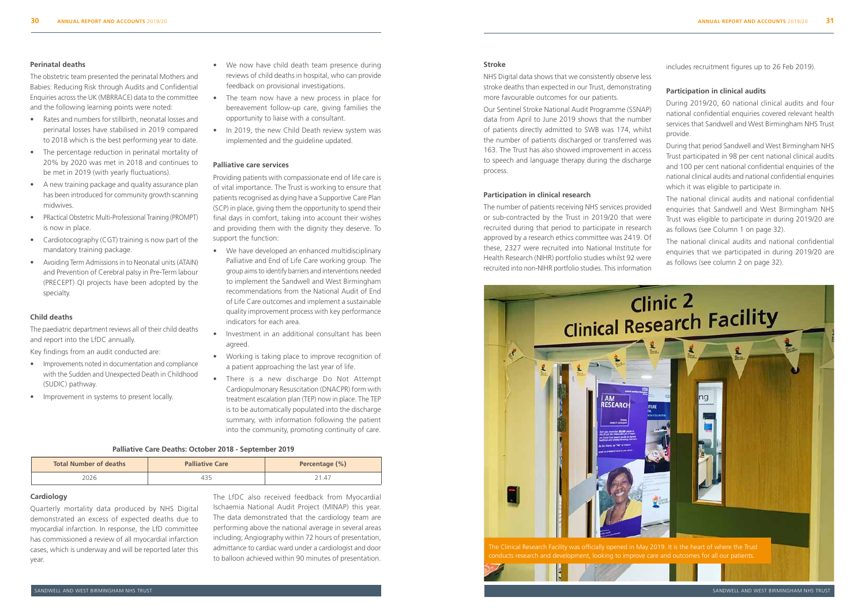

#### **Perinatal deaths**

The obstetric team presented the perinatal Mothers and Babies: Reducing Risk through Audits and Confidential Enquiries across the UK (MBRRACE) data to the committee and the following learning points were noted:

- Rates and numbers for stillbirth, neonatal losses and perinatal losses have stabilised in 2019 compared to 2018 which is the best performing year to date.
- The percentage reduction in perinatal mortality of 20% by 2020 was met in 2018 and continues to be met in 2019 (with yearly fluctuations).
- A new training package and quality assurance plan has been introduced for community growth scanning midwives.
- PRactical Obstetric Multi-Professional Training (PROMPT) is now in place.
- Cardiotocography (CGT) training is now part of the mandatory training package.
- Avoiding Term Admissions in to Neonatal units (ATAIN) and Prevention of Cerebral palsy in Pre-Term labour (PRECEPT) QI projects have been adopted by the specialty.

#### **Child deaths**

The paediatric department reviews all of their child deaths and report into the LfDC annually.

Key findings from an audit conducted are:

- Improvements noted in documentation and compliance with the Sudden and Unexpected Death in Childhood (SUDIC) pathway.
- Improvement in systems to present locally.
- We now have child death team presence during reviews of child deaths in hospital, who can provide feedback on provisional investigations.
- The team now have a new process in place for bereavement follow-up care, giving families the opportunity to liaise with a consultant.
- In 2019, the new Child Death review system was implemented and the guideline updated.

#### **Palliative care services**

Providing patients with compassionate end of life care is of vital importance. The Trust is working to ensure that patients recognised as dying have a Supportive Care Plan (SCP) in place, giving them the opportunity to spend their final days in comfort, taking into account their wishes and providing them with the dignity they deserve. To support the function:

- We have developed an enhanced multidisciplinary Palliative and End of Life Care working group. The group aims to identify barriers and interventions needed to implement the Sandwell and West Birmingham recommendations from the National Audit of End of Life Care outcomes and implement a sustainable quality improvement process with key performance indicators for each area.
- Investment in an additional consultant has been agreed.
- Working is taking place to improve recognition of a patient approaching the last year of life.
- There is a new discharge Do Not Attempt Cardiopulmonary Resuscitation (DNACPR) form with treatment escalation plan (TEP) now in place. The TEP is to be automatically populated into the discharge summary, with information following the patient into the community, promoting continuity of care.

#### **Palliative Care Deaths: October 2018 - September 2019**

| <b>Total Number of deaths</b> | <b>Palliative Care</b> | Percentage (%) |  |
|-------------------------------|------------------------|----------------|--|
| 2026                          |                        | 21.47          |  |

#### **Cardiology**

Quarterly mortality data produced by NHS Digital demonstrated an excess of expected deaths due to myocardial infarction. In response, the LfD committee has commissioned a review of all myocardial infarction cases, which is underway and will be reported later this year.

The LfDC also received feedback from Myocardial Ischaemia National Audit Project (MINAP) this year. The data demonstrated that the cardiology team are performing above the national average in several areas including; Angiography within 72 hours of presentation, admittance to cardiac ward under a cardiologist and door to balloon achieved within 90 minutes of presentation.

#### **Stroke**

NHS Digital data shows that we consistently observe less stroke deaths than expected in our Trust, demonstrating more favourable outcomes for our patients.

Our Sentinel Stroke National Audit Programme (SSNAP) data from April to June 2019 shows that the number of patients directly admitted to SWB was 174, whilst the number of patients discharged or transferred was 163. The Trust has also showed improvement in access to speech and language therapy during the discharge process.

#### **Participation in clinical research**

The number of patients receiving NHS services provided or sub-contracted by the Trust in 2019/20 that were recruited during that period to participate in research approved by a research ethics committee was 2419. Of these, 2327 were recruited into National Institute for Health Research (NIHR) portfolio studies whilst 92 were recruited into non-NIHR portfolio studies. This information

includes recruitment figures up to 26 Feb 2019).

#### **Participation in clinical audits**

During 2019/20, 60 national clinical audits and four national confidential enquiries covered relevant health services that Sandwell and West Birmingham NHS Trust provide.

During that period Sandwell and West Birmingham NHS Trust participated in 98 per cent national clinical audits and 100 per cent national confidential enquiries of the national clinical audits and national confidential enquiries which it was eligible to participate in.

The national clinical audits and national confidential enquiries that Sandwell and West Birmingham NHS Trust was eligible to participate in during 2019/20 are as follows (see Column 1 on page 32).

The national clinical audits and national confidential enquiries that we participated in during 2019/20 are as follows (see column 2 on page 32).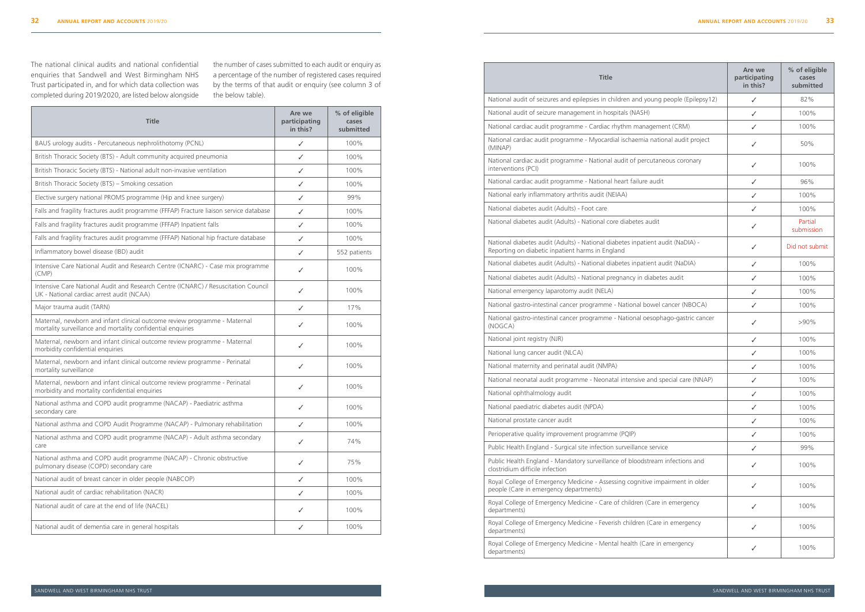| <b>Title</b>                                                                                                                             | Are we<br>participating<br>in this? | % of eligible<br>cases<br>submitted |
|------------------------------------------------------------------------------------------------------------------------------------------|-------------------------------------|-------------------------------------|
| BAUS urology audits - Percutaneous nephrolithotomy (PCNL)                                                                                | ✓                                   | 100%                                |
| British Thoracic Society (BTS) - Adult community acquired pneumonia                                                                      | ✓                                   | 100%                                |
| British Thoracic Society (BTS) - National adult non-invasive ventilation                                                                 | ✓                                   | 100%                                |
| British Thoracic Society (BTS) - Smoking cessation                                                                                       | ✓                                   | 100%                                |
| Elective surgery national PROMS programme (Hip and knee surgery)                                                                         | ✓                                   | 99%                                 |
| Falls and fragility fractures audit programme (FFFAP) Fracture liaison service database                                                  | ✓                                   | 100%                                |
| Falls and fragility fractures audit programme (FFFAP) Inpatient falls                                                                    | ✓                                   | 100%                                |
| Falls and fragility fractures audit programme (FFFAP) National hip fracture database                                                     | ✓                                   | 100%                                |
| Inflammatory bowel disease (IBD) audit                                                                                                   | ✓                                   | 552 patients                        |
| Intensive Care National Audit and Research Centre (ICNARC) - Case mix programme<br>(CMP)                                                 | ✓                                   | 100%                                |
| Intensive Care National Audit and Research Centre (ICNARC) / Resuscitation Council<br>UK - National cardiac arrest audit (NCAA)          | ✓                                   | 100%                                |
| Major trauma audit (TARN)                                                                                                                | ✓                                   | 17%                                 |
| Maternal, newborn and infant clinical outcome review programme - Maternal<br>mortality surveillance and mortality confidential enquiries | ✓                                   | 100%                                |
| Maternal, newborn and infant clinical outcome review programme - Maternal<br>morbidity confidential enquiries                            | ✓                                   | 100%                                |
| Maternal, newborn and infant clinical outcome review programme - Perinatal<br>mortality surveillance                                     | ✓                                   | 100%                                |
| Maternal, newborn and infant clinical outcome review programme - Perinatal<br>morbidity and mortality confidential enquiries             | ✓                                   | 100%                                |
| National asthma and COPD audit programme (NACAP) - Paediatric asthma<br>secondary care                                                   | ✓                                   | 100%                                |
| National asthma and COPD Audit Programme (NACAP) - Pulmonary rehabilitation                                                              | ✓                                   | 100%                                |
| National asthma and COPD audit programme (NACAP) - Adult asthma secondary<br>care                                                        | ✓                                   | 74%                                 |
| National asthma and COPD audit programme (NACAP) - Chronic obstructive<br>pulmonary disease (COPD) secondary care                        | $\checkmark$                        | 75%                                 |
| National audit of breast cancer in older people (NABCOP)                                                                                 | $\checkmark$                        | 100%                                |
| National audit of cardiac rehabilitation (NACR)                                                                                          | ✓                                   | 100%                                |
| National audit of care at the end of life (NACEL)                                                                                        | ✓                                   | 100%                                |
| National audit of dementia care in general hospitals                                                                                     | ✓                                   | 100%                                |

The national clinical audits and national confidential enquiries that Sandwell and West Birmingham NHS Trust participated in, and for which data collection was completed during 2019/2020, are listed below alongside

the number of cases submitted to each audit or enquiry as a percentage of the number of registered cases required by the terms of that audit or enquiry (see column 3 of the below table).

| <b>Title</b>                                                                                                                       | Are we<br>participating<br>in this? | % of eligible<br>cases<br>submitted |
|------------------------------------------------------------------------------------------------------------------------------------|-------------------------------------|-------------------------------------|
| National audit of seizures and epilepsies in children and young people (Epilepsy12)                                                | ✓                                   | 82%                                 |
| National audit of seizure management in hospitals (NASH)                                                                           | ✓                                   | 100%                                |
| National cardiac audit programme - Cardiac rhythm management (CRM)                                                                 | ✓                                   | 100%                                |
| National cardiac audit programme - Myocardial ischaemia national audit project<br>(MINAP)                                          | ✓                                   | 50%                                 |
| National cardiac audit programme - National audit of percutaneous coronary<br>interventions (PCI)                                  | ✓                                   | 100%                                |
| National cardiac audit programme - National heart failure audit                                                                    | ✓                                   | 96%                                 |
| National early inflammatory arthritis audit (NEIAA)                                                                                | ✓                                   | 100%                                |
| National diabetes audit (Adults) - Foot care                                                                                       | ✓                                   | 100%                                |
| National diabetes audit (Adults) - National core diabetes audit                                                                    | ✓                                   | Partial<br>submission               |
| National diabetes audit (Adults) - National diabetes inpatient audit (NaDIA) -<br>Reporting on diabetic inpatient harms in England | ✓                                   | Did not submit                      |
| National diabetes audit (Adults) - National diabetes inpatient audit (NaDIA)                                                       | ✓                                   | 100%                                |
| National diabetes audit (Adults) - National pregnancy in diabetes audit                                                            | ✓                                   | 100%                                |
| National emergency laparotomy audit (NELA)                                                                                         | ✓                                   | 100%                                |
| National gastro-intestinal cancer programme - National bowel cancer (NBOCA)                                                        | ✓                                   | 100%                                |
| National gastro-intestinal cancer programme - National oesophago-gastric cancer<br>(NOGCA)                                         | ✓                                   | $>90\%$                             |
| National joint registry (NJR)                                                                                                      | ✓                                   | 100%                                |
| National lung cancer audit (NLCA)                                                                                                  | ✓                                   | 100%                                |
| National maternity and perinatal audit (NMPA)                                                                                      | ✓                                   | 100%                                |
| National neonatal audit programme - Neonatal intensive and special care (NNAP)                                                     | ✓                                   | 100%                                |
| National ophthalmology audit                                                                                                       | ✓                                   | 100%                                |
| National paediatric diabetes audit (NPDA)                                                                                          | ✓                                   | 100%                                |
| National prostate cancer audit                                                                                                     | ✓                                   | 100%                                |
| Perioperative quality improvement programme (PQIP)                                                                                 | ✓                                   | 100%                                |
| Public Health England - Surgical site infection surveillance service                                                               | ✓                                   | 99%                                 |
| Public Health England - Mandatory surveillance of bloodstream infections and<br>clostridium difficile infection                    | ✓                                   | 100%                                |
| Royal College of Emergency Medicine - Assessing cognitive impairment in older<br>people (Care in emergency departments)            | $\checkmark$                        | 100%                                |
| Royal College of Emergency Medicine - Care of children (Care in emergency<br>departments)                                          | ✓                                   | 100%                                |
| Royal College of Emergency Medicine - Feverish children (Care in emergency<br>departments)                                         | ✓                                   | 100%                                |
| Royal College of Emergency Medicine - Mental health (Care in emergency<br>departments)                                             | ✓                                   | 100%                                |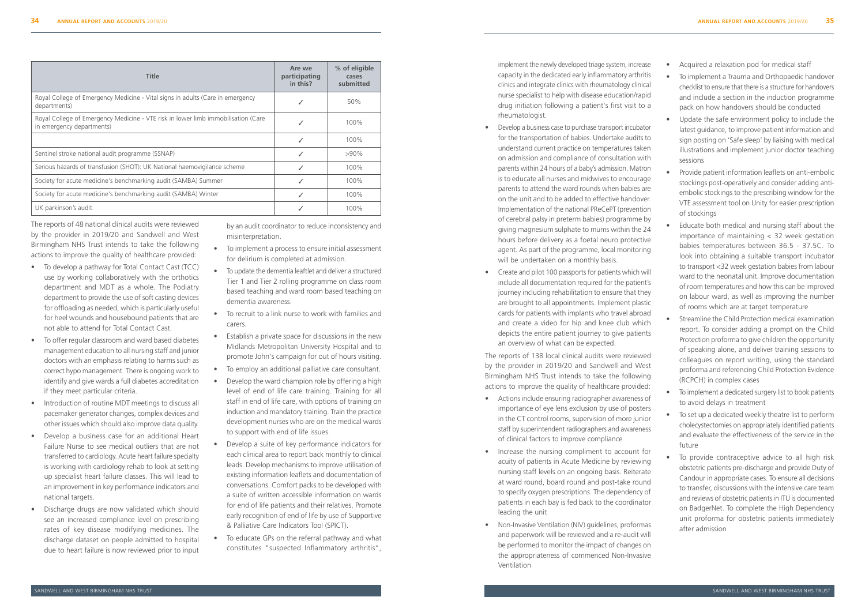| <b>Title</b>                                                                                                   | Are we<br>participating<br>in this? | % of eligible<br>cases<br>submitted |
|----------------------------------------------------------------------------------------------------------------|-------------------------------------|-------------------------------------|
| Royal College of Emergency Medicine - Vital signs in adults (Care in emergency<br>departments)                 |                                     | 50%                                 |
| Royal College of Emergency Medicine - VTE risk in lower limb immobilisation (Care<br>in emergency departments) |                                     | 100%                                |
|                                                                                                                | J                                   | 100%                                |
| Sentinel stroke national audit programme (SSNAP)                                                               | $\checkmark$                        | $>90\%$                             |
| Serious hazards of transfusion (SHOT): UK National haemovigilance scheme                                       | $\checkmark$                        | 100%                                |
| Society for acute medicine's benchmarking audit (SAMBA) Summer                                                 | ✓                                   | 100%                                |
| Society for acute medicine's benchmarking audit (SAMBA) Winter                                                 |                                     | 100%                                |
| UK parkinson's audit                                                                                           |                                     | 100%                                |

The reports of 48 national clinical audits were reviewed by the provider in 2019/20 and Sandwell and West Birmingham NHS Trust intends to take the following actions to improve the quality of healthcare provided:

- To develop a pathway for Total Contact Cast (TCC) use by working collaboratively with the orthotics department and MDT as a whole. The Podiatry department to provide the use of soft casting devices for offloading as needed, which is particularly useful for heel wounds and housebound patients that are not able to attend for Total Contact Cast.
- To offer regular classroom and ward based diabetes management education to all nursing staff and junior doctors with an emphasis relating to harms such as correct hypo management. There is ongoing work to identify and give wards a full diabetes accreditation if they meet particular criteria.
- Introduction of routine MDT meetings to discuss all pacemaker generator changes, complex devices and other issues which should also improve data quality.
- Develop a business case for an additional Heart Failure Nurse to see medical outliers that are not transferred to cardiology. Acute heart failure specialty is working with cardiology rehab to look at setting up specialist heart failure classes. This will lead to an improvement in key performance indicators and national targets.
- Discharge drugs are now validated which should see an increased compliance level on prescribing rates of key disease modifying medicines. The discharge dataset on people admitted to hospital due to heart failure is now reviewed prior to input

by an audit coordinator to reduce inconsistency and misinterpretation.

- To implement a process to ensure initial assessment for delirium is completed at admission.
- To update the dementia leaftlet and deliver a structured Tier 1 and Tier 2 rolling programme on class room based teaching and ward room based teaching on dementia awareness.
- To recruit to a link nurse to work with families and carers.
- Establish a private space for discussions in the new Midlands Metropolitan University Hospital and to promote John's campaign for out of hours visiting.
- To employ an additional palliative care consultant.
- Develop the ward champion role by offering a high level of end of life care training. Training for all staff in end of life care, with options of training on induction and mandatory training. Train the practice development nurses who are on the medical wards to support with end of life issues.
- Develop a suite of key performance indicators for each clinical area to report back monthly to clinical leads. Develop mechanisms to improve utilisation of existing information leaflets and documentation of conversations. Comfort packs to be developed with a suite of written accessible information on wards for end of life patients and their relatives. Promote early recognition of end of life by use of Supportive & Palliative Care Indicators Tool (SPICT).
- To educate GPs on the referral pathway and what constitutes "suspected Inflammatory arthritis",

implement the newly developed triage system, increase capacity in the dedicated early inflammatory arthritis clinics and integrate clinics with rheumatology clinical nurse specialist to help with disease education/rapid drug initiation following a patient's first visit to a rheumatologist.

- Develop a business case to purchase transport incubator for the transportation of babies. Undertake audits to understand current practice on temperatures taken on admission and compliance of consultation with parents within 24 hours of a baby's admission. Matron is to educate all nurses and midwives to encourage parents to attend the ward rounds when babies are on the unit and to be added to effective handover. Implementation of the national PReCePT (prevention of cerebral palsy in preterm babies) programme by giving magnesium sulphate to mums within the 24 hours before delivery as a foetal neuro protective agent. As part of the programme, local monitoring will be undertaken on a monthly basis.
- Create and pilot 100 passports for patients which will include all documentation required for the patient's journey including rehabilitation to ensure that they are brought to all appointments. Implement plastic cards for patients with implants who travel abroad and create a video for hip and knee club which depicts the entire patient journey to give patients an overview of what can be expected.

The reports of 138 local clinical audits were reviewed by the provider in 2019/20 and Sandwell and West Birmingham NHS Trust intends to take the following actions to improve the quality of healthcare provided:

- Actions include ensuring radiographer awareness of importance of eye lens exclusion by use of posters in the CT control rooms, supervision of more junior staff by superintendent radiographers and awareness of clinical factors to improve compliance
- Increase the nursing compliment to account for acuity of patients in Acute Medicine by reviewing nursing staff levels on an ongoing basis. Reiterate at ward round, board round and post-take round to specify oxygen prescriptions. The dependency of patients in each bay is fed back to the coordinator leading the unit
- Non-Invasive Ventilation (NIV) guidelines, proformas and paperwork will be reviewed and a re-audit will be performed to monitor the impact of changes on the appropriateness of commenced Non-Invasive Ventilation
- Acquired a relaxation pod for medical staff
- To implement a Trauma and Orthopaedic handover checklist to ensure that there is a structure for handovers and include a section in the induction programme pack on how handovers should be conducted
- Update the safe environment policy to include the latest guidance, to improve patient information and sign posting on 'Safe sleep' by liaising with medical illustrations and implement junior doctor teaching sessions
- Provide patient information leaflets on anti-embolic stockings post-operatively and consider adding antiembolic stockings to the prescribing window for the VTE assessment tool on Unity for easier prescription of stockings
- Educate both medical and nursing staff about the importance of maintaining < 32 week gestation babies temperatures between 36.5 - 37.5C. To look into obtaining a suitable transport incubator to transport <32 week gestation babies from labour ward to the neonatal unit. Improve documentation of room temperatures and how this can be improved on labour ward, as well as improving the number of rooms which are at target temperature
- Streamline the Child Protection medical examination report. To consider adding a prompt on the Child Protection proforma to give children the opportunity of speaking alone, and deliver training sessions to colleagues on report writing, using the standard proforma and referencing Child Protection Evidence (RCPCH) in complex cases
- To implement a dedicated surgery list to book patients to avoid delays in treatment
- To set up a dedicated weekly theatre list to perform cholecystectomies on appropriately identified patients and evaluate the effectiveness of the service in the future
- To provide contraceptive advice to all high risk obstetric patients pre-discharge and provide Duty of Candour in appropriate cases. To ensure all decisions to transfer, discussions with the intensive care team and reviews of obstetric patients in ITU is documented on BadgerNet. To complete the High Dependency unit proforma for obstetric patients immediately after admission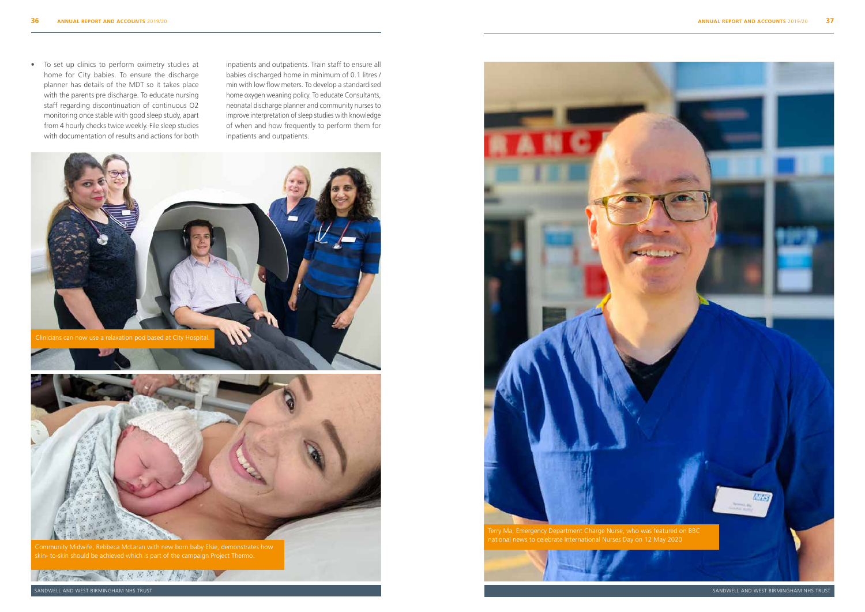SANDWELL AND WEST BIRMINGHAM NHS TRUST

• To set up clinics to perform oximetry studies at home for City babies. To ensure the discharge planner has details of the MDT so it takes place with the parents pre discharge. To educate nursing staff regarding discontinuation of continuous O2 monitoring once stable with good sleep study, apart from 4 hourly checks twice weekly. File sleep studies with documentation of results and actions for both

inpatients and outpatients. Train staff to ensure all babies discharged home in minimum of 0.1 litres / min with low flow meters. To develop a standardised home oxygen weaning policy. To educate Consultants, neonatal discharge planner and community nurses to improve interpretation of sleep studies with knowledge of when and how frequently to perform them for inpatients and outpatients.









Community Midwife, Rebbeca McLaran with new born baby Elsie, demonstrates how

La Comme A SARAY